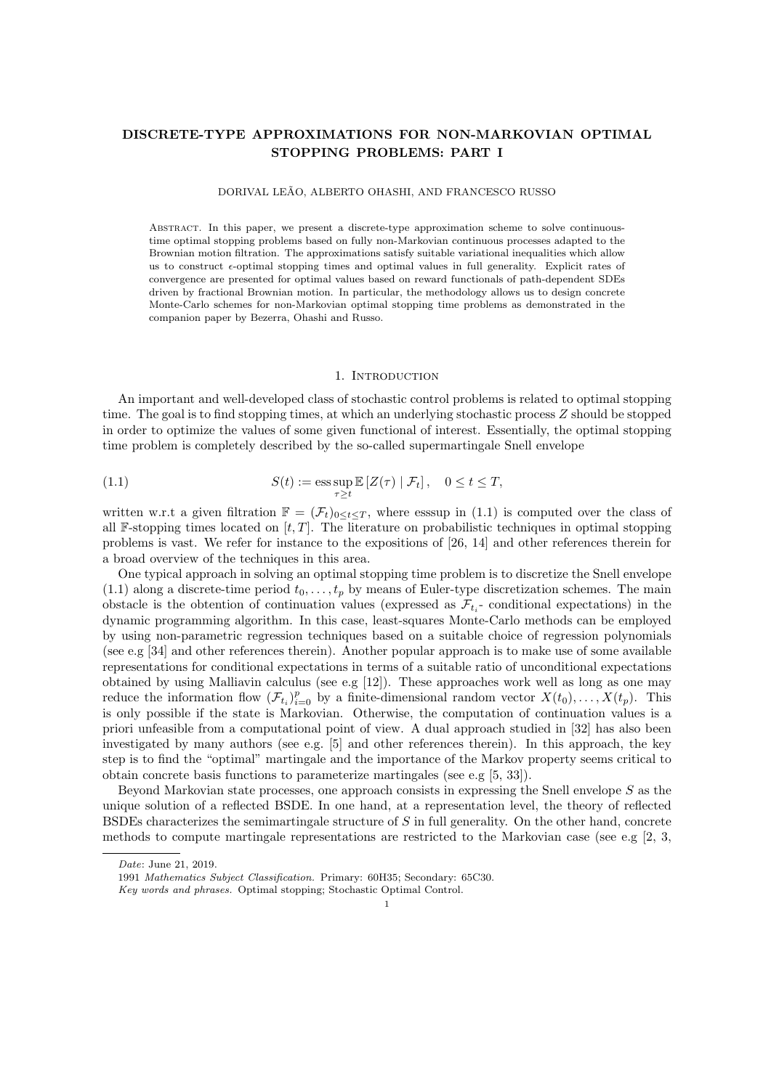# DISCRETE-TYPE APPROXIMATIONS FOR NON-MARKOVIAN OPTIMAL STOPPING PROBLEMS: PART I

# DORIVAL LEÃO, ALBERTO OHASHI, AND FRANCESCO RUSSO

Abstract. In this paper, we present a discrete-type approximation scheme to solve continuoustime optimal stopping problems based on fully non-Markovian continuous processes adapted to the Brownian motion filtration. The approximations satisfy suitable variational inequalities which allow us to construct  $\epsilon$ -optimal stopping times and optimal values in full generality. Explicit rates of convergence are presented for optimal values based on reward functionals of path-dependent SDEs driven by fractional Brownian motion. In particular, the methodology allows us to design concrete Monte-Carlo schemes for non-Markovian optimal stopping time problems as demonstrated in the companion paper by Bezerra, Ohashi and Russo.

#### 1. Introduction

An important and well-developed class of stochastic control problems is related to optimal stopping time. The goal is to find stopping times, at which an underlying stochastic process Z should be stopped in order to optimize the values of some given functional of interest. Essentially, the optimal stopping time problem is completely described by the so-called supermartingale Snell envelope

(1.1) 
$$
S(t) := \operatorname{ess} \sup_{\tau \ge t} \mathbb{E} [Z(\tau) | \mathcal{F}_t], \quad 0 \le t \le T,
$$

written w.r.t a given filtration  $\mathbb{F} = (\mathcal{F}_t)_{0 \le t \le T}$ , where esssup in (1.1) is computed over the class of all F-stopping times located on  $[t, T]$ . The literature on probabilistic techniques in optimal stopping problems is vast. We refer for instance to the expositions of [26, 14] and other references therein for a broad overview of the techniques in this area.

One typical approach in solving an optimal stopping time problem is to discretize the Snell envelope (1.1) along a discrete-time period  $t_0, \ldots, t_p$  by means of Euler-type discretization schemes. The main obstacle is the obtention of continuation values (expressed as  $\mathcal{F}_{t_i}$ - conditional expectations) in the dynamic programming algorithm. In this case, least-squares Monte-Carlo methods can be employed by using non-parametric regression techniques based on a suitable choice of regression polynomials (see e.g [34] and other references therein). Another popular approach is to make use of some available representations for conditional expectations in terms of a suitable ratio of unconditional expectations obtained by using Malliavin calculus (see e.g [12]). These approaches work well as long as one may reduce the information flow  $(\mathcal{F}_{t_i})_{i=0}^p$  by a finite-dimensional random vector  $X(t_0), \ldots, X(t_p)$ . This is only possible if the state is Markovian. Otherwise, the computation of continuation values is a priori unfeasible from a computational point of view. A dual approach studied in [32] has also been investigated by many authors (see e.g. [5] and other references therein). In this approach, the key step is to find the "optimal" martingale and the importance of the Markov property seems critical to obtain concrete basis functions to parameterize martingales (see e.g [5, 33]).

Beyond Markovian state processes, one approach consists in expressing the Snell envelope  $S$  as the unique solution of a reflected BSDE. In one hand, at a representation level, the theory of reflected BSDEs characterizes the semimartingale structure of  $S$  in full generality. On the other hand, concrete methods to compute martingale representations are restricted to the Markovian case (see e.g [2, 3,

Date: June 21, 2019.

<sup>1991</sup> Mathematics Subject Classification. Primary: 60H35; Secondary: 65C30.

Key words and phrases. Optimal stopping; Stochastic Optimal Control.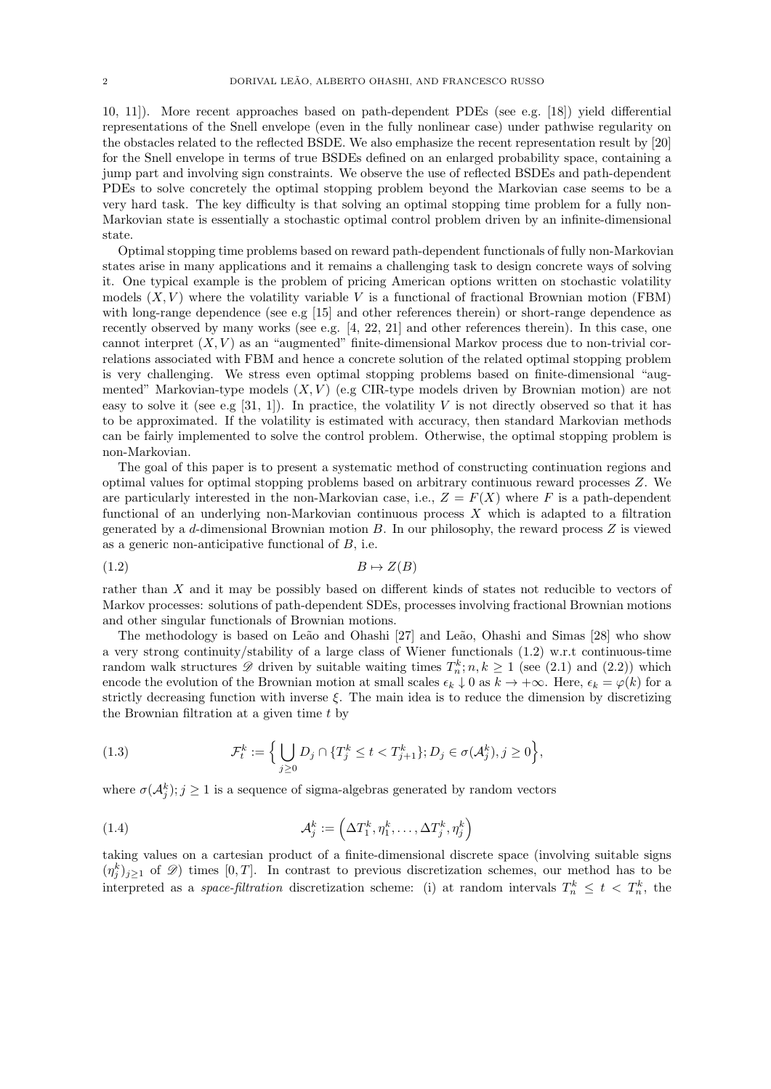10, 11]). More recent approaches based on path-dependent PDEs (see e.g. [18]) yield differential representations of the Snell envelope (even in the fully nonlinear case) under pathwise regularity on the obstacles related to the reflected BSDE. We also emphasize the recent representation result by [20] for the Snell envelope in terms of true BSDEs defined on an enlarged probability space, containing a jump part and involving sign constraints. We observe the use of reflected BSDEs and path-dependent PDEs to solve concretely the optimal stopping problem beyond the Markovian case seems to be a very hard task. The key difficulty is that solving an optimal stopping time problem for a fully non-Markovian state is essentially a stochastic optimal control problem driven by an infinite-dimensional state.

Optimal stopping time problems based on reward path-dependent functionals of fully non-Markovian states arise in many applications and it remains a challenging task to design concrete ways of solving it. One typical example is the problem of pricing American options written on stochastic volatility models  $(X, V)$  where the volatility variable V is a functional of fractional Brownian motion (FBM) with long-range dependence (see e.g [15] and other references therein) or short-range dependence as recently observed by many works (see e.g. [4, 22, 21] and other references therein). In this case, one cannot interpret  $(X, V)$  as an "augmented" finite-dimensional Markov process due to non-trivial correlations associated with FBM and hence a concrete solution of the related optimal stopping problem is very challenging. We stress even optimal stopping problems based on finite-dimensional "augmented" Markovian-type models  $(X, V)$  (e.g CIR-type models driven by Brownian motion) are not easy to solve it (see e.g  $[31, 1]$ ). In practice, the volatility V is not directly observed so that it has to be approximated. If the volatility is estimated with accuracy, then standard Markovian methods can be fairly implemented to solve the control problem. Otherwise, the optimal stopping problem is non-Markovian.

The goal of this paper is to present a systematic method of constructing continuation regions and optimal values for optimal stopping problems based on arbitrary continuous reward processes Z. We are particularly interested in the non-Markovian case, i.e.,  $Z = F(X)$  where F is a path-dependent functional of an underlying non-Markovian continuous process  $X$  which is adapted to a filtration generated by a  $d$ -dimensional Brownian motion  $B$ . In our philosophy, the reward process  $Z$  is viewed as a generic non-anticipative functional of  $B$ , i.e.

$$
(1.2)\t\t\t B \mapsto Z(B)
$$

rather than X and it may be possibly based on different kinds of states not reducible to vectors of Markov processes: solutions of path-dependent SDEs, processes involving fractional Brownian motions and other singular functionals of Brownian motions.

The methodology is based on Leão and Ohashi [27] and Leão, Ohashi and Simas [28] who show a very strong continuity/stability of a large class of Wiener functionals (1.2) w.r.t continuous-time random walk structures  $\mathscr D$  driven by suitable waiting times  $T_n^k; n, k \ge 1$  (see (2.1) and (2.2)) which encode the evolution of the Brownian motion at small scales  $\epsilon_k \downarrow 0$  as  $k \to +\infty$ . Here,  $\epsilon_k = \varphi(k)$  for a strictly decreasing function with inverse  $\xi$ . The main idea is to reduce the dimension by discretizing the Brownian filtration at a given time  $t$  by

(1.3) 
$$
\mathcal{F}_t^k := \Big\{ \bigcup_{j\geq 0} D_j \cap \{T_j^k \leq t < T_{j+1}^k\}; D_j \in \sigma(\mathcal{A}_j^k), j \geq 0 \Big\},
$$

where  $\sigma(A_j^k)$ ;  $j \geq 1$  is a sequence of sigma-algebras generated by random vectors

(1.4) 
$$
\mathcal{A}_j^k := \left(\Delta T_1^k, \eta_1^k, \dots, \Delta T_j^k, \eta_j^k\right)
$$

taking values on a cartesian product of a finite-dimensional discrete space (involving suitable signs  $(\eta_j^k)_{j\geq 1}$  of  $\mathscr{D})$  times  $[0,T]$ . In contrast to previous discretization schemes, our method has to be interpreted as a *space-filtration* discretization scheme: (i) at random intervals  $T_n^k \leq t < T_n^k$ , the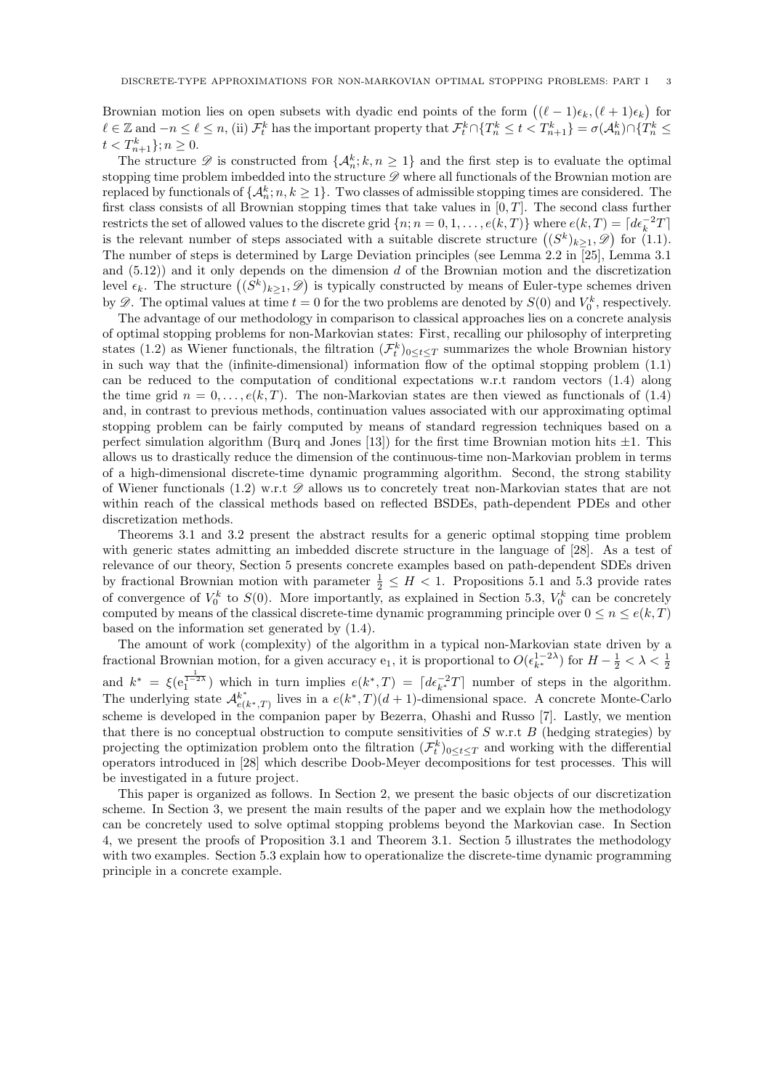Brownian motion lies on open subsets with dyadic end points of the form  $((\ell - 1)\epsilon_k, (\ell + 1)\epsilon_k)$  for  $\ell \in \mathbb{Z}$  and  $-n \leq \ell \leq n$ , (ii)  $\mathcal{F}_t^k$  has the important property that  $\mathcal{F}_t^k \cap \{T_n^k \leq t < T_{n+1}^k\} = \sigma(\mathcal{A}_n^k) \cap \{T_n^k \leq t < T_{n+1}^k\}$  $t < T_{n+1}^k$  ;  $n \geq 0$ .

The structure  $\mathscr D$  is constructed from  $\{\mathcal A_n^k; k, n \geq 1\}$  and the first step is to evaluate the optimal stopping time problem imbedded into the structure  $D$  where all functionals of the Brownian motion are replaced by functionals of  $\{\mathcal{A}_n^k; n, k \ge 1\}$ . Two classes of admissible stopping times are considered. The first class consists of all Brownian stopping times that take values in  $[0, T]$ . The second class further restricts the set of allowed values to the discrete grid  $\{n; n = 0, 1, \ldots, e(k, T)\}\$  where  $e(k, T) = \lceil d\epsilon_k^{-2}T\rceil$ is the relevant number of steps associated with a suitable discrete structure  $((S^k)_{k\geq 1}, \mathscr{D})$  for  $(1.1)$ . The number of steps is determined by Large Deviation principles (see Lemma 2.2 in [25], Lemma 3.1 and  $(5.12)$  and it only depends on the dimension d of the Brownian motion and the discretization level  $\epsilon_k$ . The structure  $((S^k)_{k\geq 1}, \mathscr{D})$  is typically constructed by means of Euler-type schemes driven by  $\mathscr{D}$ . The optimal values at time  $t = 0$  for the two problems are denoted by  $S(0)$  and  $V_0^k$ , respectively.

The advantage of our methodology in comparison to classical approaches lies on a concrete analysis of optimal stopping problems for non-Markovian states: First, recalling our philosophy of interpreting states (1.2) as Wiener functionals, the filtration  $(\mathcal{F}_t^k)_{0 \le t \le T}$  summarizes the whole Brownian history in such way that the (infinite-dimensional) information flow of the optimal stopping problem (1.1) can be reduced to the computation of conditional expectations w.r.t random vectors (1.4) along the time grid  $n = 0, \ldots, e(k, T)$ . The non-Markovian states are then viewed as functionals of (1.4) and, in contrast to previous methods, continuation values associated with our approximating optimal stopping problem can be fairly computed by means of standard regression techniques based on a perfect simulation algorithm (Burq and Jones [13]) for the first time Brownian motion hits  $\pm 1$ . This allows us to drastically reduce the dimension of the continuous-time non-Markovian problem in terms of a high-dimensional discrete-time dynamic programming algorithm. Second, the strong stability of Wiener functionals (1.2) w.r.t  $\mathscr D$  allows us to concretely treat non-Markovian states that are not within reach of the classical methods based on reflected BSDEs, path-dependent PDEs and other discretization methods.

Theorems 3.1 and 3.2 present the abstract results for a generic optimal stopping time problem with generic states admitting an imbedded discrete structure in the language of [28]. As a test of relevance of our theory, Section 5 presents concrete examples based on path-dependent SDEs driven by fractional Brownian motion with parameter  $\frac{1}{2} \leq H < 1$ . Propositions 5.1 and 5.3 provide rates of convergence of  $V_0^k$  to  $S(0)$ . More importantly, as explained in Section 5.3,  $V_0^k$  can be concretely computed by means of the classical discrete-time dynamic programming principle over  $0 \le n \le e(k, T)$ based on the information set generated by (1.4).

The amount of work (complexity) of the algorithm in a typical non-Markovian state driven by a fractional Brownian motion, for a given accuracy e<sub>1</sub>, it is proportional to  $O(\epsilon_{k^*}^{1-2\lambda})$  for  $H-\frac{1}{2}<\lambda<\frac{1}{2}$ 2 and  $k^* = \xi(e_1^{\frac{1}{1-2\lambda}})$  which in turn implies  $e(k^*,T) = [d\epsilon_{k^*}^{-2}T]$  number of steps in the algorithm. The underlying state  $\mathcal{A}_{e(k^*,T)}^{k^*}$  lives in a  $e(k^*,T)(d+1)$ -dimensional space. A concrete Monte-Carlo scheme is developed in the companion paper by Bezerra, Ohashi and Russo [7]. Lastly, we mention that there is no conceptual obstruction to compute sensitivities of  $S$  w.r.t  $B$  (hedging strategies) by projecting the optimization problem onto the filtration  $(\mathcal{F}_t^k)_{0 \le t \le T}$  and working with the differential operators introduced in [28] which describe Doob-Meyer decompositions for test processes. This will be investigated in a future project.

This paper is organized as follows. In Section 2, we present the basic objects of our discretization scheme. In Section 3, we present the main results of the paper and we explain how the methodology can be concretely used to solve optimal stopping problems beyond the Markovian case. In Section 4, we present the proofs of Proposition 3.1 and Theorem 3.1. Section 5 illustrates the methodology with two examples. Section 5.3 explain how to operationalize the discrete-time dynamic programming principle in a concrete example.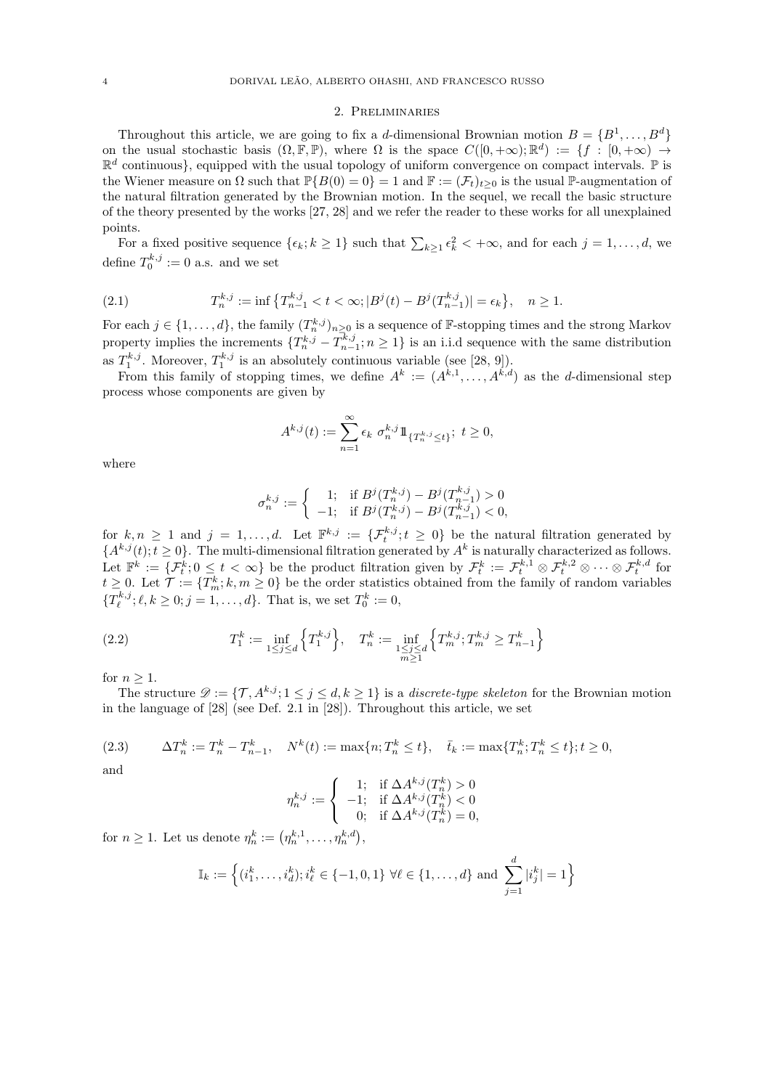# 2. Preliminaries

Throughout this article, we are going to fix a d-dimensional Brownian motion  $B = \{B^1, \ldots, B^d\}$ on the usual stochastic basis  $(\Omega, \mathbb{F}, \mathbb{P})$ , where  $\Omega$  is the space  $C([0, +\infty); \mathbb{R}^d) := \{f : [0, +\infty) \to \mathbb{R}^d\}$  $\mathbb{R}^d$  continuous}, equipped with the usual topology of uniform convergence on compact intervals.  $\mathbb P$  is the Wiener measure on  $\Omega$  such that  $\mathbb{P}{B(0) = 0} = 1$  and  $\mathbb{F} := (\mathcal{F}_t)_{t \geq 0}$  is the usual P-augmentation of the natural filtration generated by the Brownian motion. In the sequel, we recall the basic structure of the theory presented by the works [27, 28] and we refer the reader to these works for all unexplained points.

For a fixed positive sequence  $\{\epsilon_k; k \geq 1\}$  such that  $\sum_{k\geq 1} \epsilon_k^2 < +\infty$ , and for each  $j = 1, \ldots, d$ , we define  $T_0^{k,j} := 0$  a.s. and we set

(2.1) 
$$
T_n^{k,j} := \inf \left\{ T_{n-1}^{k,j} < t < \infty; \left| B^j(t) - B^j(T_{n-1}^{k,j}) \right| = \epsilon_k \right\}, \quad n \ge 1.
$$

For each  $j \in \{1, ..., d\}$ , the family  $(T_n^{k,j})_{n \geq 0}$  is a sequence of F-stopping times and the strong Markov property implies the increments  $\{T_n^{k,j} - T_{n-1}^{k,j}; n \geq 1\}$  is an i.i.d sequence with the same distribution as  $T_1^{k,j}$ . Moreover,  $T_1^{k,j}$  is an absolutely continuous variable (see [28, 9]).

From this family of stopping times, we define  $A^k := (A^{k,1}, \ldots, A^{k,d})$  as the *d*-dimensional step process whose components are given by

$$
A^{k,j}(t) := \sum_{n=1}^{\infty} \epsilon_k \ \sigma_n^{k,j} \mathbb{1}_{\{T_n^{k,j} \le t\}}; \ t \ge 0,
$$

where

$$
\sigma_n^{k,j} := \begin{cases}\n1; & \text{if } B^j(T_n^{k,j}) - B^j(T_{n-1}^{k,j}) > 0 \\
-1; & \text{if } B^j(T_n^{k,j}) - B^j(T_{n-1}^{k,j}) < 0,\n\end{cases}
$$

for  $k, n \geq 1$  and  $j = 1, \ldots, d$ . Let  $\mathbb{F}^{k,j} := \{ \mathcal{F}_t^{k,j}; t \geq 0 \}$  be the natural filtration generated by  ${A^{k,j}(t); t \geq 0}.$  The multi-dimensional filtration generated by  $A^k$  is naturally characterized as follows. Let  $\mathbb{F}^k := \{\mathcal{F}_t^k : 0 \leq t < \infty\}$  be the product filtration given by  $\mathcal{F}_t^k := \mathcal{F}_t^{k,1} \otimes \mathcal{F}_t^{k,2} \otimes \cdots \otimes \mathcal{F}_t^{k,d}$  for  $t \geq 0$ . Let  $\mathcal{T} := \{T_m^k; k, m \geq 0\}$  be the order statistics obtained from the family of random variables  $\{T_{\ell}^{k,j}; \ell, k \geq 0; j = 1, \ldots, d\}$ . That is, we set  $T_0^k := 0$ ,

(2.2) 
$$
T_1^k := \inf_{1 \le j \le d} \left\{ T_1^{k,j} \right\}, \quad T_n^k := \inf_{\substack{1 \le j \le d \\ m \ge 1}} \left\{ T_m^{k,j}; T_m^{k,j} \ge T_{n-1}^k \right\}
$$

for  $n \geq 1$ .

The structure  $\mathcal{D} := \{\mathcal{T}, A^{k,j}; 1 \leq j \leq d, k \geq 1\}$  is a *discrete-type skeleton* for the Brownian motion in the language of [28] (see Def. 2.1 in [28]). Throughout this article, we set

(2.3) 
$$
\Delta T_n^k := T_n^k - T_{n-1}^k, \quad N^k(t) := \max\{n; T_n^k \le t\}, \quad \bar{t}_k := \max\{T_n^k; T_n^k \le t\}; t \ge 0,
$$

and

$$
\eta^{k,j}_n:=\left\{\begin{array}{cl} 1; & \text{if }\Delta A^{k,j}(T^k_n)>0\\ -1; & \text{if }\Delta A^{k,j}(T^k_n)<0\\ 0; & \text{if }\Delta A^{k,j}(T^k_n)=0, \end{array}\right.
$$

for  $n \geq 1$ . Let us denote  $\eta_n^k := (\eta_n^{k,1}, \dots, \eta_n^{k,d}),$ 

$$
\mathbb{I}_k := \left\{ (i_1^k, \dots, i_d^k) ; i_\ell^k \in \{-1, 0, 1\} \; \forall \ell \in \{1, \dots, d\} \text{ and } \sum_{j=1}^d |i_j^k| = 1 \right\}
$$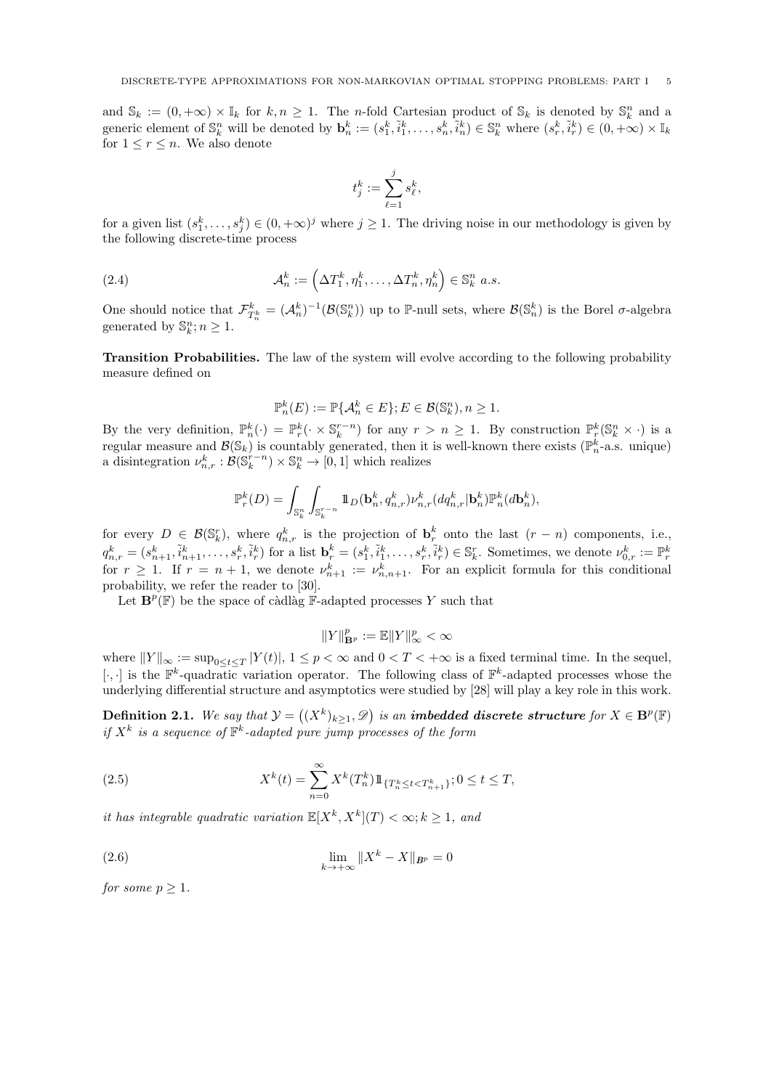and  $\mathbb{S}_k := (0, +\infty) \times \mathbb{I}_k$  for  $k, n \ge 1$ . The *n*-fold Cartesian product of  $\mathbb{S}_k$  is denoted by  $\mathbb{S}_k^n$  and a generic element of  $\mathbb{S}_k^n$  will be denoted by  $\mathbf{b}_n^k := (s_1^k, \tilde{i}_1^k, \ldots, s_n^k, \tilde{i}_n^k) \in \mathbb{S}_k^n$  where  $(s_r^k, \tilde{i}_r^k) \in (0, +\infty) \times \mathbb{I}_k$ for  $1 \leq r \leq n$ . We also denote

$$
t_j^k:=\sum_{\ell=1}^j s_\ell^k,
$$

for a given list  $(s_1^k, \ldots, s_j^k) \in (0, +\infty)^j$  where  $j \ge 1$ . The driving noise in our methodology is given by the following discrete-time process

(2.4) 
$$
\mathcal{A}_n^k := \left(\Delta T_1^k, \eta_1^k, \dots, \Delta T_n^k, \eta_n^k\right) \in \mathbb{S}_k^n \ a.s.
$$

One should notice that  $\mathcal{F}_{T_n^k}^k = (\mathcal{A}_n^k)^{-1}(\mathcal{B}(\mathbb{S}_n^n))$  up to P-null sets, where  $\mathcal{B}(\mathbb{S}_n^k)$  is the Borel  $\sigma$ -algebra generated by  $\mathbb{S}_k^n; n \geq 1$ .

Transition Probabilities. The law of the system will evolve according to the following probability measure defined on

$$
\mathbb{P}_n^k(E) := \mathbb{P}\{\mathcal{A}_n^k \in E\}; E \in \mathcal{B}(\mathbb{S}_k^n), n \ge 1.
$$

By the very definition,  $\mathbb{P}_n^k(\cdot) = \mathbb{P}_r^k(\cdot \times \mathbb{S}_k^{r-n})$  for any  $r > n \geq 1$ . By construction  $\mathbb{P}_r^k(\mathbb{S}_k^n \times \cdot)$  is a regular measure and  $\mathcal{B}(\mathbb{S}_k)$  is countably generated, then it is well-known there exists  $(\mathbb{P}_n^k$ -a.s. unique) a disintegration  $\nu_{n,r}^k : \mathcal{B}(\mathbb{S}_k^{r-n}) \times \mathbb{S}_k^n \to [0,1]$  which realizes

$$
\mathbb{P}_r^k(D) = \int_{\mathbb{S}_k^n} \int_{\mathbb{S}_k^{r-n}} 1\!\!1_D(\mathbf{b}_n^k, q_{n,r}^k) \nu_{n,r}^k(dq_{n,r}^k | \mathbf{b}_n^k) \mathbb{P}_n^k(d\mathbf{b}_n^k),
$$

for every  $D \in \mathcal{B}(\mathbb{S}_k^r)$ , where  $q_{n,r}^k$  is the projection of  $\mathbf{b}_r^k$  onto the last  $(r - n)$  components, i.e.,  $q_{n,r}^k = (s_{n+1}^k, \tilde{i}_{n+1}^k, \ldots, s_r^k, \tilde{i}_r^k)$  for a list  $\mathbf{b}_r^k = (s_1^k, \tilde{i}_1^k, \ldots, s_r^k, \tilde{i}_r^k) \in \mathbb{S}_k^r$ . Sometimes, we denote  $\nu_{0,r}^k := \mathbb{P}_r^k$ for  $r \geq 1$ . If  $r = n + 1$ , we denote  $\nu_{n+1}^k := \nu_{n,n+1}^k$ . For an explicit formula for this conditional probability, we refer the reader to [30].

Let  $\mathbf{B}^p(\mathbb{F})$  be the space of càdlàg  $\mathbb{F}\text{-adapted processes } Y$  such that

$$
\|Y\|_{{\mathbf B}^p}^p:=\mathbb{E}\|Y\|_\infty^p<\infty
$$

where  $||Y||_{\infty} := \sup_{0 \le t \le T} |Y(t)|$ ,  $1 \le p < \infty$  and  $0 < T < +\infty$  is a fixed terminal time. In the sequel,  $[\cdot,\cdot]$  is the  $\mathbb{F}^k$ -quadratic variation operator. The following class of  $\mathbb{F}^k$ -adapted processes whose the underlying differential structure and asymptotics were studied by [28] will play a key role in this work.

**Definition 2.1.** We say that  $\mathcal{Y} = ((X^k)_{k \geq 1}, \mathscr{D})$  is an **imbedded discrete structure** for  $X \in \mathbf{B}^p(\mathbb{F})$ if  $X^k$  is a sequence of  $\mathbb{F}^k$ -adapted pure jump processes of the form

(2.5) 
$$
X^{k}(t) = \sum_{n=0}^{\infty} X^{k}(T_{n}^{k}) 1\!\!1_{\{T_{n}^{k} \leq t < T_{n+1}^{k}\}}; 0 \leq t \leq T,
$$

it has integrable quadratic variation  $\mathbb{E}[X^k, X^k](T) < \infty; k \geq 1$ , and

(2.6) 
$$
\lim_{k \to +\infty} \|X^k - X\|_{B^p} = 0
$$

for some  $p \geq 1$ .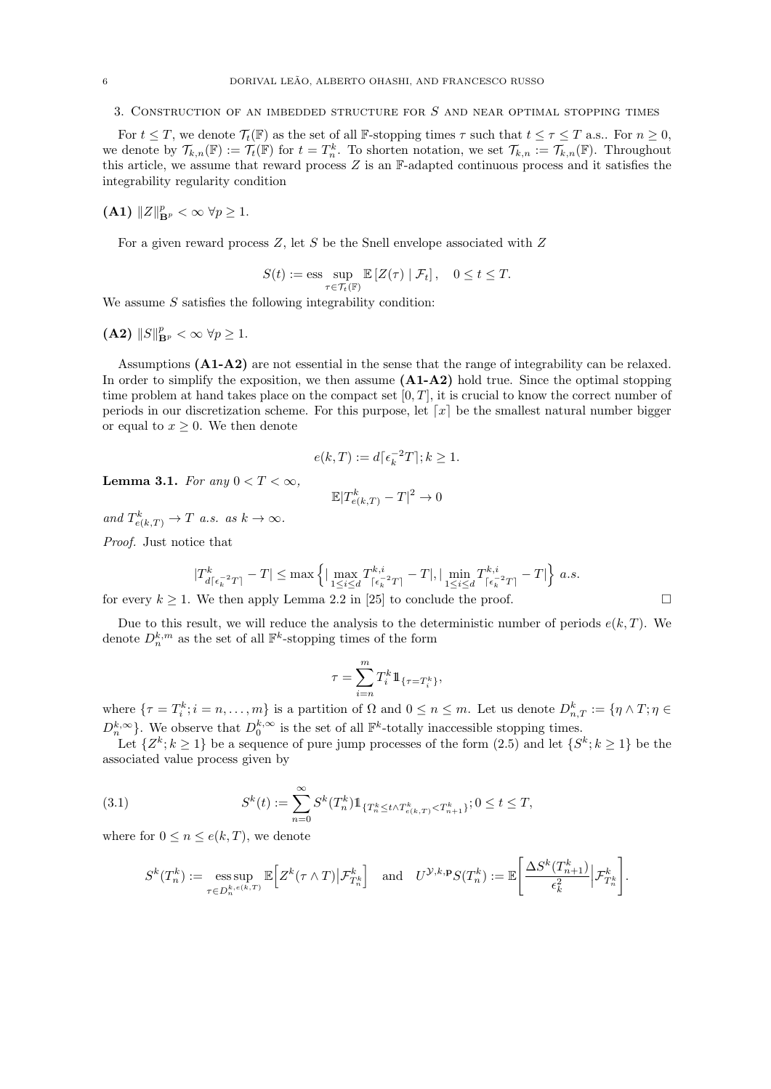3. Construction of an imbedded structure for S and near optimal stopping times

For  $t \leq T$ , we denote  $\mathcal{T}_t(\mathbb{F})$  as the set of all F-stopping times  $\tau$  such that  $t \leq \tau \leq T$  a.s.. For  $n \geq 0$ , we denote by  $\mathcal{T}_{k,n}(\mathbb{F}) := \mathcal{T}_t(\mathbb{F})$  for  $t = T_n^k$ . To shorten notation, we set  $\mathcal{T}_{k,n} := \mathcal{T}_{k,n}(\mathbb{F})$ . Throughout this article, we assume that reward process Z is an F-adapted continuous process and it satisfies the integrability regularity condition

(A1)  $||Z||_{\mathbf{B}^p}^p < \infty \ \forall p \geq 1.$ 

For a given reward process  $Z$ , let  $S$  be the Snell envelope associated with  $Z$ 

$$
S(t):=\text{ess}\sup_{\tau\in\mathcal{T}_t(\mathbb{F})}\mathbb{E}\left[Z(\tau)\mid\mathcal{F}_t\right],\quad 0\leq t\leq T.
$$

We assume  $S$  satisfies the following integrability condition:

$$
(\mathbf{A2})\,\,\|S\|_{\mathbf{B}^p}^p < \infty \,\,\forall p \geq 1.
$$

Assumptions (A1-A2) are not essential in the sense that the range of integrability can be relaxed. In order to simplify the exposition, we then assume  $(A1-A2)$  hold true. Since the optimal stopping time problem at hand takes place on the compact set  $[0, T]$ , it is crucial to know the correct number of periods in our discretization scheme. For this purpose, let  $\lceil x \rceil$  be the smallest natural number bigger or equal to  $x \geq 0$ . We then denote

$$
e(k,T) := d\lceil \epsilon_k^{-2}T \rceil; k \ge 1.
$$

Lemma 3.1. For any  $0 < T < \infty$ ,

$$
\mathbb{E}|T_{e(k,T)}^k - T|^2 \to 0
$$

and  $T_{e(k,T)}^k \to T$  a.s. as  $k \to \infty$ .

Proof. Just notice that

$$
|T_{d\lceil\epsilon_k^{-2}T\rceil}^k - T| \le \max\left\{ |\max_{1 \le i \le d} T_{\lceil\epsilon_k^{-2}T\rceil}^{k,i} - T|, |\min_{1 \le i \le d} T_{\lceil\epsilon_k^{-2}T\rceil}^{k,i} - T| \right\} a.s.
$$

for every  $k \ge 1$ . We then apply Lemma 2.2 in [25] to conclude the proof.

Due to this result, we will reduce the analysis to the deterministic number of periods  $e(k, T)$ . We denote  $D_n^{k,m}$  as the set of all  $\mathbb{F}^k$ -stopping times of the form

$$
\tau = \sum_{i=n}^m T_i^k 1\!\!1_{\{\tau = T_i^k\}},
$$

where  $\{\tau = T_i^k; i = n, \ldots, m\}$  is a partition of  $\Omega$  and  $0 \le n \le m$ . Let us denote  $D_{n,T}^k := \{\eta \wedge T; \eta \in$  $D_n^{k,\infty}$ . We observe that  $D_0^{k,\infty}$  is the set of all  $\mathbb{F}^k$ -totally inaccessible stopping times.

Let  $\{Z^k; k \geq 1\}$  be a sequence of pure jump processes of the form  $(2.5)$  and let  $\{S^k; k \geq 1\}$  be the associated value process given by

(3.1) 
$$
S^{k}(t) := \sum_{n=0}^{\infty} S^{k}(T_{n}^{k}) 1\!\!1_{\{T_{n}^{k} \leq t \wedge T_{e(k,T)}^{k} < T_{n+1}^{k}\}}; 0 \leq t \leq T,
$$

where for  $0 \leq n \leq e(k, T)$ , we denote

$$
S^k(T^k_n) := \operatorname*{ess\,sup}_{\tau \in D^{k,e(k,T)}_n} \mathbb{E}\Big[Z^k(\tau \wedge T) \big| \mathcal{F}^k_{T^k_n}\Big] \quad \text{and} \quad U^{\mathcal{Y},k,\mathbf{p}} S(T^k_n) := \mathbb{E}\Bigg[\frac{\Delta S^k(T^k_{n+1})}{\epsilon_k^2} \Big| \mathcal{F}^k_{T^k_n}\Bigg].
$$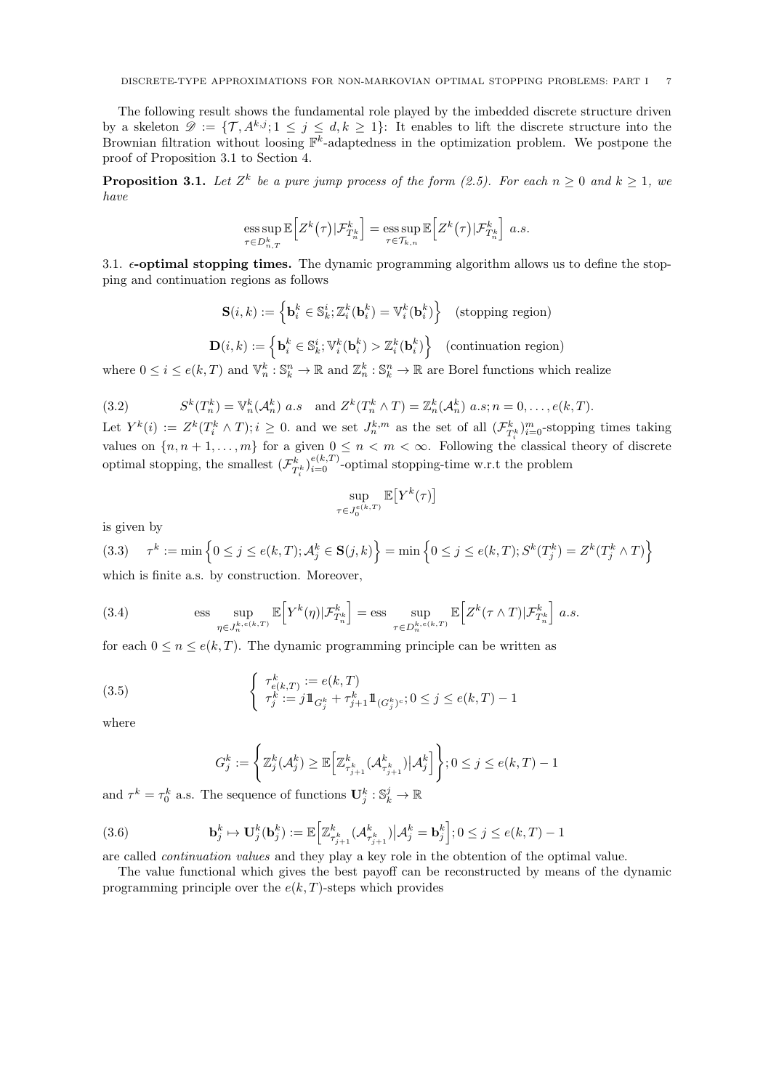The following result shows the fundamental role played by the imbedded discrete structure driven by a skeleton  $\mathscr{D} := \{ \mathcal{T}, A^{k,j} ; 1 \leq j \leq d, k \geq 1 \}$ : It enables to lift the discrete structure into the Brownian filtration without loosing  $\mathbb{F}^k$ -adaptedness in the optimization problem. We postpone the proof of Proposition 3.1 to Section 4.

**Proposition 3.1.** Let  $Z^k$  be a pure jump process of the form (2.5). For each  $n \geq 0$  and  $k \geq 1$ , we have

ess sup 
$$
\mathbb{E}\left[Z^k(\tau)|\mathcal{F}^k_{T^k_n}\right]
$$
 = ess sup  $\mathbb{E}\left[Z^k(\tau)|\mathcal{F}^k_{T^k_n}\right]$  a.s.  
 $\tau \in \mathcal{T}_{k,n}$ 

3.1.  $\epsilon$ -optimal stopping times. The dynamic programming algorithm allows us to define the stopping and continuation regions as follows

$$
\mathbf{S}(i,k) := \left\{ \mathbf{b}_i^k \in \mathbb{S}_k^i; \mathbb{Z}_i^k(\mathbf{b}_i^k) = \mathbb{V}_i^k(\mathbf{b}_i^k) \right\} \quad \text{(stopping region)}
$$
\n
$$
\mathbf{D}(i,k) := \left\{ \mathbf{b}_i^k \in \mathbb{S}_k^i; \mathbb{V}_i^k(\mathbf{b}_i^k) > \mathbb{Z}_i^k(\mathbf{b}_i^k) \right\} \quad \text{(continuation region)}
$$

where  $0 \leq i \leq e(k,T)$  and  $\mathbb{V}_n^k : \mathbb{S}_k^n \to \mathbb{R}$  and  $\mathbb{Z}_n^k : \mathbb{S}_k^n \to \mathbb{R}$  are Borel functions which realize

(3.2) 
$$
S^k(T_n^k) = \mathbb{V}_n^k(\mathcal{A}_n^k) \ a.s \quad \text{and } Z^k(T_n^k \wedge T) = \mathbb{Z}_n^k(\mathcal{A}_n^k) \ a.s; n = 0, \dots, e(k,T).
$$

Let  $Y^k(i) := Z^k(T_i^k \wedge T); i \geq 0$  and we set  $J_n^{k,m}$  as the set of all  $(\mathcal{F}_{T_i^k}^k)_{i=0}^m$ -stopping times taking values on  $\{n, n+1, \ldots, m\}$  for a given  $0 \leq n < m < \infty$ . Following the classical theory of discrete optimal stopping, the smallest  $(\mathcal{F}_{T_i^k}^k)_{i=0}^{e(k,T)}$ -optimal stopping-time w.r.t the problem

$$
\sup_{\tau\in J_0^{e(k,T)}}\mathbb{E}\big[Y^k(\tau)\big]
$$

is given by

$$
(3.3) \quad \tau^k := \min\left\{0 \le j \le e(k,T); \mathcal{A}_j^k \in \mathbf{S}(j,k)\right\} = \min\left\{0 \le j \le e(k,T); S^k(T_j^k) = Z^k(T_j^k \wedge T)\right\}
$$

which is finite a.s. by construction. Moreover,

(3.4) 
$$
\text{ess} \sup_{\eta \in J_n^{k, e(k,T)}} \mathbb{E}\Big[Y^k(\eta) | \mathcal{F}_{T_n^k}^k\Big] = \text{ess} \sup_{\tau \in D_n^{k, e(k,T)}} \mathbb{E}\Big[Z^k(\tau \wedge T) | \mathcal{F}_{T_n^k}^k\Big] a.s.
$$

for each  $0 \le n \le e(k,T)$ . The dynamic programming principle can be written as

(3.5) 
$$
\begin{cases} \tau_{e(k,T)}^k := e(k,T) \\ \tau_j^k := j 1 \mathbb{1}_{G_j^k} + \tau_{j+1}^k 1 \mathbb{1}_{(G_j^k)^c}; 0 \le j \le e(k,T) - 1 \end{cases}
$$

where

$$
G_j^k := \left\{ \mathbb{Z}_j^k(\mathcal{A}_j^k) \ge \mathbb{E}\Big[\mathbb{Z}_{\tau_{j+1}^k}^k(\mathcal{A}_{\tau_{j+1}^k}^k) \big| \mathcal{A}_j^k \Big] \right\}; 0 \le j \le e(k,T) - 1
$$

and  $\tau^k = \tau_0^k$  a.s. The sequence of functions  $\mathbf{U}_j^k : \mathbb{S}_k^j \to \mathbb{R}$ 

(3.6) 
$$
\mathbf{b}_j^k \mapsto \mathbf{U}_j^k(\mathbf{b}_j^k) := \mathbb{E}\Big[\mathbb{Z}_{\tau_{j+1}^k}^k(\mathcal{A}_{\tau_{j+1}^k}^k)\big|\mathcal{A}_j^k = \mathbf{b}_j^k\Big]; 0 \leq j \leq e(k,T)-1
$$

are called continuation values and they play a key role in the obtention of the optimal value.

The value functional which gives the best payoff can be reconstructed by means of the dynamic programming principle over the  $e(k, T)$ -steps which provides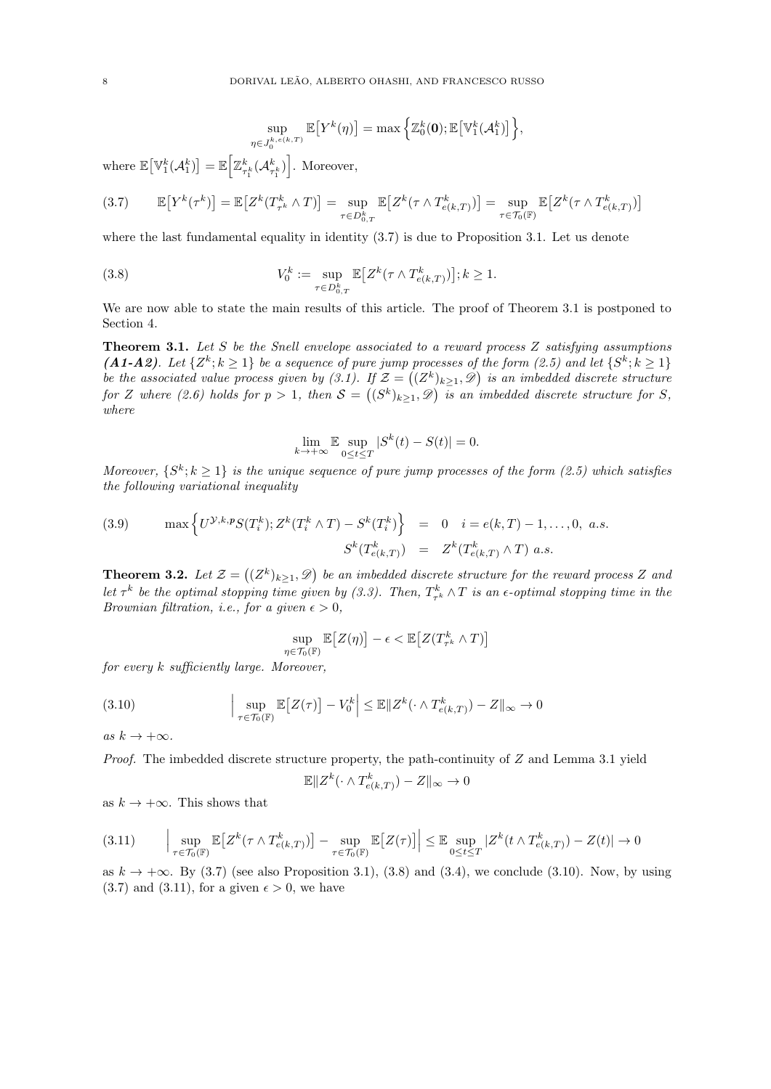$$
\sup_{\eta \in J_0^{k,e(k,T)}} \mathbb{E}\big[ Y^k(\eta) \big] = \max \Big\{ \mathbb{Z}_0^k(\mathbf{0}); \mathbb{E}\big[ \mathbb{V}_1^k(\mathcal{A}_1^k) \big] \Big\},\,
$$

where  $\mathbb{E}\big[\mathbb{V}^k_1(\mathcal{A}^k_1)\big] = \mathbb{E}\Big[\mathbb{Z}^k_{\tau^k_1}(\mathcal{A}^k_{\tau^k_1})\Big]$ . Moreover,

$$
(3.7) \qquad \mathbb{E}\big[Y^k(\tau^k)\big] = \mathbb{E}\big[Z^k(T^k_{\tau^k} \wedge T)\big] = \sup_{\tau \in D^k_{0,T}} \mathbb{E}\big[Z^k(\tau \wedge T^k_{e(k,T)})\big] = \sup_{\tau \in \mathcal{T}_0(\mathbb{F})} \mathbb{E}\big[Z^k(\tau \wedge T^k_{e(k,T)})\big]
$$

where the last fundamental equality in identity  $(3.7)$  is due to Proposition 3.1. Let us denote

(3.8) 
$$
V_0^k := \sup_{\tau \in D_{0,T}^k} \mathbb{E}\big[Z^k(\tau \wedge T_{e(k,T)}^k)\big]; k \ge 1.
$$

We are now able to state the main results of this article. The proof of Theorem 3.1 is postponed to Section 4.

**Theorem 3.1.** Let S be the Snell envelope associated to a reward process  $Z$  satisfying assumptions (A1-A2). Let  $\{Z^k; k \geq 1\}$  be a sequence of pure jump processes of the form (2.5) and let  $\{S^k; k \geq 1\}$ be the associated value process given by (3.1). If  $\mathcal{Z} = ((Z^k)_{k \geq 1}, \mathscr{D})$  is an imbedded discrete structure for Z where (2.6) holds for  $p > 1$ , then  $S = ((S^k)_{k \geq 1}, \mathscr{D})$  is an imbedded discrete structure for S, where

$$
\lim_{k \to +\infty} \mathbb{E} \sup_{0 \le t \le T} |S^k(t) - S(t)| = 0.
$$

Moreover,  $\{S^k; k \geq 1\}$  is the unique sequence of pure jump processes of the form (2.5) which satisfies the following variational inequality

(3.9) 
$$
\max \left\{ U^{\mathcal{Y},k,p} S(T_i^k); Z^k(T_i^k \wedge T) - S^k(T_i^k) \right\} = 0 \quad i = e(k,T) - 1, ..., 0, \text{ a.s.}
$$

$$
S^k(T_{e(k,T)}^k) = Z^k(T_{e(k,T)}^k \wedge T) \text{ a.s.}
$$

**Theorem 3.2.** Let  $\mathcal{Z} = ((Z^k)_{k \geq 1}, \mathcal{D})$  be an imbedded discrete structure for the reward process Z and Let  $\tau^k$  be the optimal stopping time given by (3.3). Then,  $T^k_{\tau^k}\wedge T$  is an  $\epsilon$ -optimal stopping time in the Brownian filtration, i.e., for a given  $\epsilon > 0$ ,

$$
\sup_{\eta \in \mathcal{T}_0(\mathbb{F})} \mathbb{E}\big[Z(\eta)\big] - \epsilon < \mathbb{E}\big[Z(T^k_{\tau^k} \wedge T)\big]
$$

for every k sufficiently large. Moreover,

(3.10) 
$$
\left|\sup_{\tau \in \mathcal{T}_0(\mathbb{F})} \mathbb{E}\left[Z(\tau)\right] - V_0^k\right| \leq \mathbb{E} \|Z^k(\cdot \wedge T_{e(k,T)}^k) - Z\|_{\infty} \to 0
$$

as  $k \to +\infty$ .

*Proof.* The imbedded discrete structure property, the path-continuity of  $Z$  and Lemma 3.1 yield

$$
\mathbb{E} \|Z^k(\cdot \wedge T^k_{e(k,T)}) - Z\|_{\infty} \to 0
$$

as  $k \to +\infty$ . This shows that

$$
(3.11) \qquad \Big|\sup_{\tau \in \mathcal{T}_0(\mathbb{F})} \mathbb{E}\big[Z^k(\tau \wedge T^k_{e(k,T)})\big] - \sup_{\tau \in \mathcal{T}_0(\mathbb{F})} \mathbb{E}\big[Z(\tau)\big]\Big| \leq \mathbb{E}\sup_{0 \leq t \leq T} |Z^k(t \wedge T^k_{e(k,T)}) - Z(t)| \to 0
$$

as  $k \to +\infty$ . By (3.7) (see also Proposition 3.1), (3.8) and (3.4), we conclude (3.10). Now, by using  $(3.7)$  and  $(3.11)$ , for a given  $\epsilon > 0$ , we have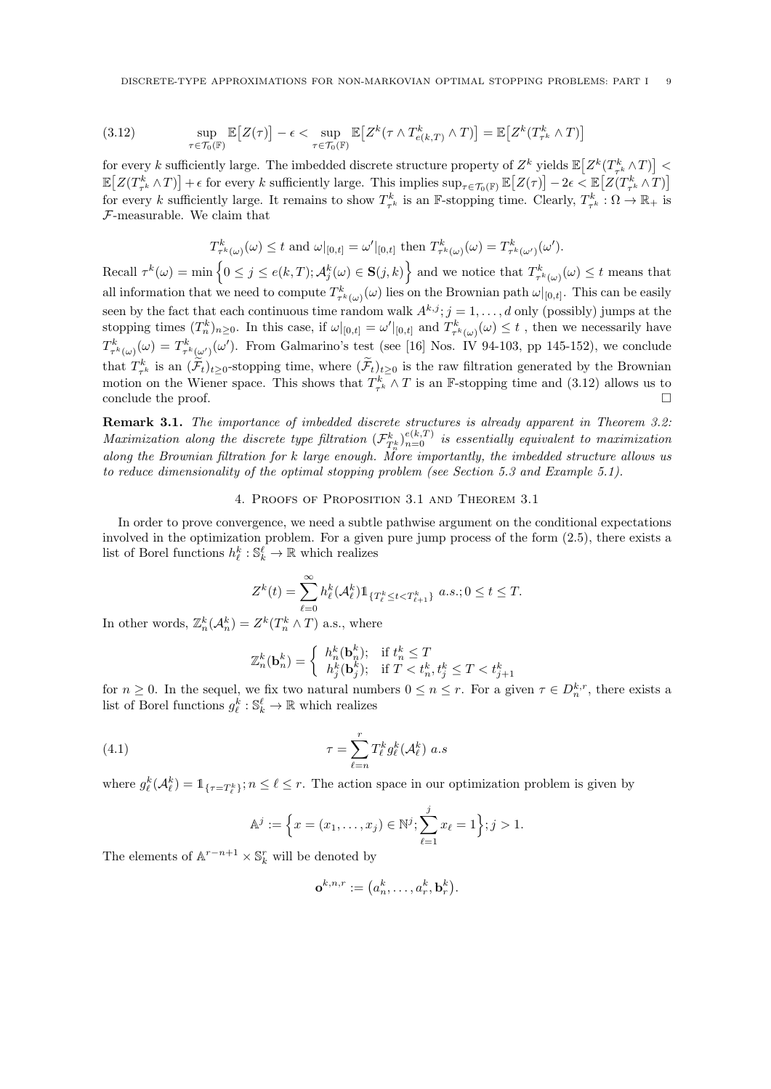(3.12) 
$$
\sup_{\tau \in \mathcal{T}_0(\mathbb{F})} \mathbb{E}\big[Z(\tau)\big] - \epsilon < \sup_{\tau \in \mathcal{T}_0(\mathbb{F})} \mathbb{E}\big[Z^k(\tau \wedge T^k_{e(k,T)} \wedge T)\big] = \mathbb{E}\big[Z^k(T^k_{\tau^k} \wedge T)\big]
$$

for every k sufficiently large. The imbedded discrete structure property of  $Z^k$  yields  $\mathbb{E}\left[Z^k(T^k_{\tau^k}\wedge T)\right]$  $\mathbb{E}\big[Z(T^k_{\tau^k}\wedge T)\big]+\epsilon$  for every k sufficiently large. This implies  $\sup_{\tau\in\mathcal{T}_0(\mathbb{F})}\mathbb{E}\big[Z(\tau)\big]-2\epsilon\lt\mathbb{E}\big[Z(T^k_{\tau^k}\wedge T)\big]$ for every k sufficiently large. It remains to show  $T_{\tau^k}^k$  is an F-stopping time. Clearly,  $T_{\tau^k}^k : \Omega \to \mathbb{R}_+$  is F-measurable. We claim that

$$
T^k_{\tau^k(\omega)}(\omega) \leq t \text{ and } \omega|_{[0,t]} = \omega'|_{[0,t]} \text{ then } T^k_{\tau^k(\omega)}(\omega) = T^k_{\tau^k(\omega')}(\omega').
$$

 $\text{Recall } \tau^k(\omega) = \min \left\{0 \leq j \leq e(k,T); A_j^k(\omega) \in \mathbf{S}(j,k)\right\} \text{ and we notice that } T_{\tau^k(\omega)}^k(\omega) \leq t \text{ means that }$ all information that we need to compute  $T^k_{\tau^k(\omega)}(\omega)$  lies on the Brownian path  $\omega|_{[0,t]}$ . This can be easily seen by the fact that each continuous time random walk  $A^{k,j}$ ;  $j = 1, \ldots, d$  only (possibly) jumps at the stopping times  $(T_n^k)_{n\geq 0}$ . In this case, if  $\omega|_{[0,t]} = \omega'|_{[0,t]}$  and  $T_{\tau^k(\omega)}^k(\omega) \leq t$ , then we necessarily have  $T^k_{\tau^k(\omega)}(\omega) = T^k_{\tau^k(\omega')}(\omega').$  From Galmarino's test (see [16] Nos. IV 94-103, pp 145-152), we conclude that  $T_{\tau^k}^k$  is an  $(\mathcal{F}_t)_{t\geq 0}$ -stopping time, where  $(\mathcal{F}_t)_{t\geq 0}$  is the raw filtration generated by the Brownian motion on the Wiener space. This shows that  $T_{\tau^k}^k \wedge T$  is an F-stopping time and (3.12) allows us to conclude the proof.  $\Box$ 

**Remark 3.1.** The importance of imbedded discrete structures is already apparent in Theorem 3.2: Maximization along the discrete type filtration  $(\mathcal{F}^k_{T^k_n})_{n=0}^{e(k,T)}$  is essentially equivalent to maximization along the Brownian filtration for k large enough. More importantly, the imbedded structure allows us to reduce dimensionality of the optimal stopping problem (see Section 5.3 and Example 5.1).

#### 4. Proofs of Proposition 3.1 and Theorem 3.1

In order to prove convergence, we need a subtle pathwise argument on the conditional expectations involved in the optimization problem. For a given pure jump process of the form (2.5), there exists a list of Borel functions  $h_{\ell}^k : \mathbb{S}_{k}^{\ell} \to \mathbb{R}$  which realizes

$$
Z^{k}(t) = \sum_{\ell=0}^{\infty} h_{\ell}^{k}(\mathcal{A}_{\ell}^{k}) \mathbb{1}_{\{T_{\ell}^{k} \leq t < T_{\ell+1}^{k}\}} \ a.s.; 0 \leq t \leq T.
$$

In other words,  $\mathbb{Z}_n^k(\mathcal{A}_n^k) = Z^k(T_n^k \wedge T)$  a.s., where

$$
\mathbb{Z}_n^k(\mathbf{b}_n^k) = \left\{ \begin{array}{ll} h_n^k(\mathbf{b}_n^k); & \text{if } t_n^k \leq T \\ h_j^k(\mathbf{b}_j^k); & \text{if } T < t_n^k, t_j^k \leq T < t_{j+1}^k \end{array} \right.
$$

for  $n \geq 0$ . In the sequel, we fix two natural numbers  $0 \leq n \leq r$ . For a given  $\tau \in D_n^{k,r}$ , there exists a list of Borel functions  $g_{\ell}^k : \mathbb{S}_{k}^{\ell} \to \mathbb{R}$  which realizes

(4.1) 
$$
\tau = \sum_{\ell=n}^r T_{\ell}^k g_{\ell}^k(\mathcal{A}_{\ell}^k) a.s
$$

where  $g_{\ell}^{k}(\mathcal{A}_{\ell}^{k}) = \mathbb{1}_{\{\tau = T_{\ell}^{k}\}}$ ;  $n \leq \ell \leq r$ . The action space in our optimization problem is given by

$$
\mathbb{A}^{j} := \left\{ x = (x_1, \dots, x_j) \in \mathbb{N}^{j}; \sum_{\ell=1}^{j} x_{\ell} = 1 \right\}; j > 1.
$$

The elements of  $\mathbb{A}^{r-n+1} \times \mathbb{S}_k^r$  will be denoted by

$$
\mathbf{o}^{k,n,r} := \left(a_n^k, \ldots, a_r^k, \mathbf{b}_r^k\right).
$$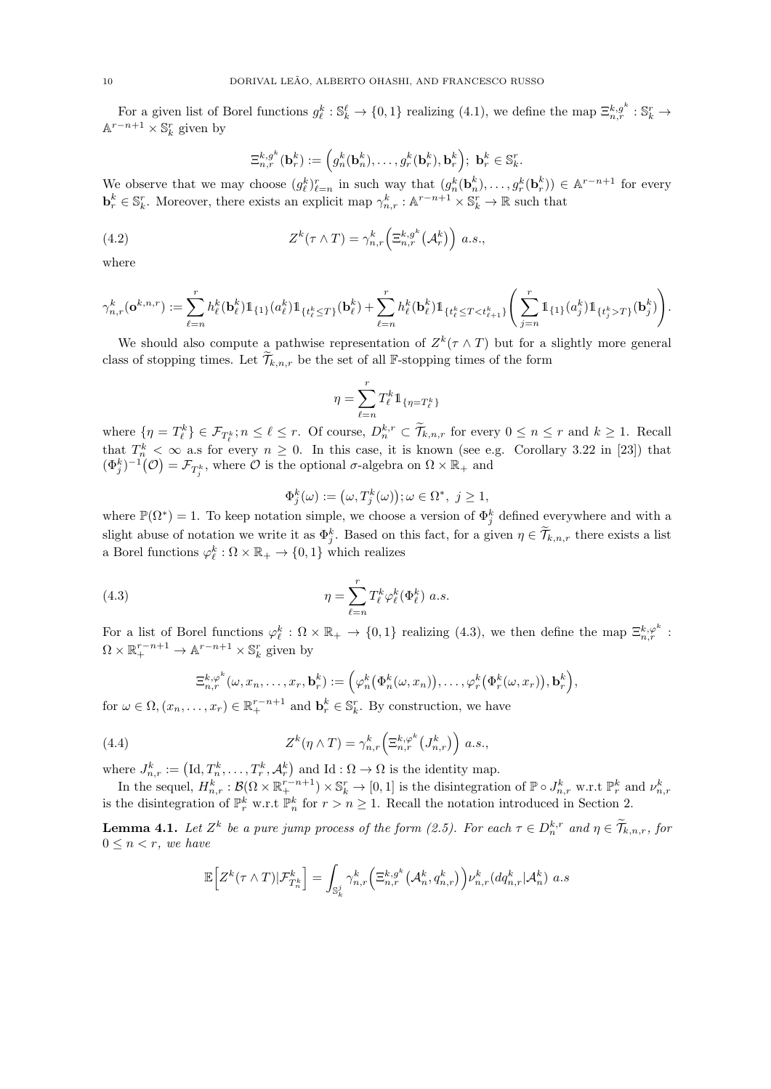For a given list of Borel functions  $g_{\ell}^{k} : \mathbb{S}_{k}^{\ell} \to \{0,1\}$  realizing  $(4.1)$ , we define the map  $\Xi_{n,r}^{k,g^{k}} : \mathbb{S}_{k}^{r} \to$  $\mathbb{A}^{r-n+1} \times \mathbb{S}_k^r$  given by

$$
\Xi^{k,g^k}_{n,r}(\mathbf{b}^k_r) := \left(g_n^k(\mathbf{b}^k_n),\ldots,g_r^k(\mathbf{b}^k_r),\mathbf{b}^k_r\right); \ \mathbf{b}^k_r \in \mathbb{S}_k^r.
$$

We observe that we may choose  $(g_{\ell}^k)_{\ell=n}^r$  in such way that  $(g_n^k(\mathbf{b}_n^k), \ldots, g_r^k(\mathbf{b}_r^k)) \in \mathbb{A}^{r-n+1}$  for every  $\mathbf{b}_r^k \in \mathbb{S}_k^r$ . Moreover, there exists an explicit map  $\gamma_{n,r}^k : \mathbb{A}^{r-n+1} \times \mathbb{S}_k^r \to \mathbb{R}$  such that

(4.2) 
$$
Z^k(\tau \wedge T) = \gamma_{n,r}^k \left(\Xi_{n,r}^{k,g^k}(\mathcal{A}_r^k)\right) a.s.,
$$

where

$$
\gamma^k_{n,r}(\textbf{o}^{k,n,r}):=\sum_{\ell=n}^rh_\ell^k(\textbf{b}^k_\ell)\mathbb{1}_{\{1\}}(a^k_\ell)\mathbb{1}_{\{t^k_\ell\leq T\}}(\textbf{b}^k_\ell)+\sum_{\ell=n}^rh_\ell^k(\textbf{b}^k_\ell)\mathbb{1}_{\{t^k_\ell\leq T< t^k_{\ell+1}\}}\Bigg(\sum_{j=n}^r\mathbb{1}_{\{1\}}(a^k_j)\mathbb{1}_{\{t^k_j>T\}}(\textbf{b}^k_j)\Bigg).
$$

We should also compute a pathwise representation of  $Z^k(\tau \wedge T)$  but for a slightly more general class of stopping times. Let  $\widetilde{\mathcal{T}}_{k,n,r}$  be the set of all F-stopping times of the form

$$
\eta = \sum_{\ell=n}^r T_\ell^k 1\!\!1_{\{\eta = T_\ell^k\}}
$$

where  $\{n = T_{\ell}^k\} \in \mathcal{F}_{T_{\ell}^k}; n \leq \ell \leq r$ . Of course,  $D_n^{k,r} \subset \widetilde{\mathcal{T}}_{k,n,r}$  for every  $0 \leq n \leq r$  and  $k \geq 1$ . Recall that  $T_n^k < \infty$  a.s for every  $n \geq 0$ . In this case, it is known (see e.g. Corollary 3.22 in [23]) that  $(\Phi_j^k)^{-1}(\mathcal{O}) = \mathcal{F}_{T_j^k}$ , where  $\mathcal O$  is the optional  $\sigma$ -algebra on  $\Omega \times \mathbb{R}_+$  and

$$
\Phi_j^k(\omega) := (\omega, T_j^k(\omega)); \omega \in \Omega^*, \ j \ge 1,
$$

where  $\mathbb{P}(\Omega^*)=1$ . To keep notation simple, we choose a version of  $\Phi_j^k$  defined everywhere and with a slight abuse of notation we write it as  $\Phi_j^k$ . Based on this fact, for a given  $\eta \in \widetilde{\mathcal{T}}_{k,n,r}$  there exists a list a Borel functions  $\varphi_{\ell}^{k} : \Omega \times \mathbb{R}_{+} \to \{0, 1\}$  which realizes

(4.3) 
$$
\eta = \sum_{\ell=n}^r T_{\ell}^k \varphi_{\ell}^k (\Phi_{\ell}^k) a.s.
$$

For a list of Borel functions  $\varphi_{\ell}^{k} : \Omega \times \mathbb{R}_{+} \to \{0,1\}$  realizing (4.3), we then define the map  $\Xi_{n,r}^{k,\varphi^{k}}$ :  $\Omega \times \mathbb{R}^{r-n+1}_+ \to \mathbb{A}^{r-n+1} \times \mathbb{S}_k^r$  given by

$$
\Xi^{k,\varphi^k}_{n,r}(\omega,x_n,\ldots,x_r,\mathbf{b}_r^k):=\Big(\varphi^k_n\big(\Phi^k_n(\omega,x_n)\big),\ldots,\varphi^k_r\big(\Phi^k_r(\omega,x_r)\big),\mathbf{b}_r^k\Big),
$$

for  $\omega \in \Omega, (x_n, \ldots, x_r) \in \mathbb{R}_+^{r-n+1}$  and  $\mathbf{b}_r^k \in \mathbb{S}_k^r$ . By construction, we have

(4.4) 
$$
Z^{k}(\eta \wedge T) = \gamma_{n,r}^{k} \left(\Xi_{n,r}^{k,\varphi^{k}}(J_{n,r}^{k})\right) a.s.,
$$

where  $J_{n,r}^k := (\mathrm{Id}, T_n^k, \ldots, T_r^k, \mathcal{A}_r^k)$  and  $\mathrm{Id} : \Omega \to \Omega$  is the identity map.

In the sequel,  $H_{n,r}^k : \mathcal{B}(\Omega \times \mathbb{R}_+^{r-n+1}) \times \mathbb{S}_k^r \to [0,1]$  is the disintegration of  $\mathbb{P} \circ J_{n,r}^k$  w.r.t  $\mathbb{P}_r^k$  and  $\nu_{n,r}^k$  is the disintegration of  $\mathbb{P}_r^k$  w.r.t  $\mathbb{P}_n^k$  for  $r > n \ge 1$ . Recall t

**Lemma 4.1.** Let  $Z^k$  be a pure jump process of the form (2.5). For each  $\tau \in D_n^{k,r}$  and  $\eta \in \widetilde{\mathcal{T}}_{k,n,r}$ , for  $0 \leq n < r$ , we have

$$
\mathbb{E}\Big[Z^k(\tau\wedge T)|\mathcal{F}^k_{T^k_n}\Big]=\int_{\mathbb{S}^j_k}\gamma^k_{n,r}\Big(\Xi^{k,g^k}_{n,r}\big(\mathcal{A}^k_{n},q^k_{n,r}\big)\Big)\nu^k_{n,r}(dq^k_{n,r}|\mathcal{A}^k_{n})~a.s
$$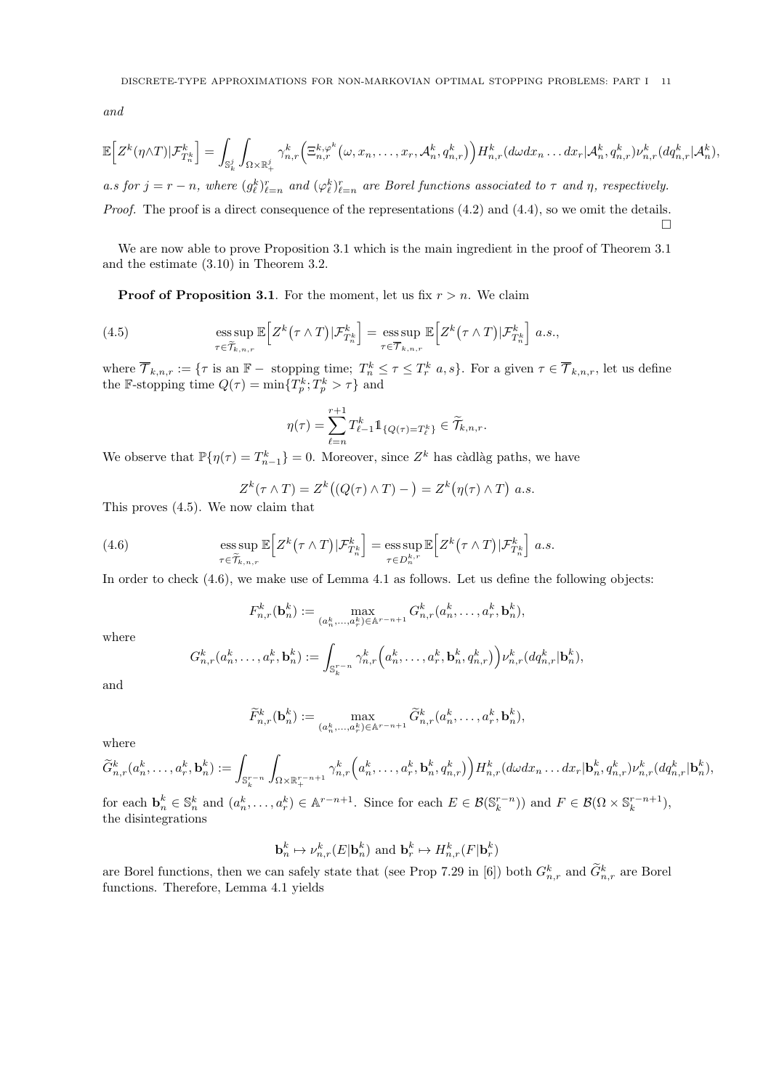and

$$
\mathbb{E}\Big[Z^k(\eta\wedge T)|\mathcal{F}^k_{T^k_n}\Big]=\int_{\mathbb{S}_k^j}\int_{\Omega\times\mathbb{R}_+^j}\gamma^k_{n,r}\Big(\Xi^{k,\varphi^k}_{n,r}\big(\omega,x_n,\ldots,x_r,\mathcal{A}^k_n,q^k_{n,r}\big)\Big)H^k_{n,r}(d\omega dx_n\ldots dx_r|\mathcal{A}^k_n,q^k_{n,r})\nu^k_{n,r}(dq^k_{n,r}|\mathcal{A}^k_n),
$$

a.s for  $j = r - n$ , where  $(g_{\ell}^k)_{\ell=n}^r$  and  $(\varphi_{\ell}^k)_{\ell=n}^r$  are Borel functions associated to  $\tau$  and  $\eta$ , respectively. Proof. The proof is a direct consequence of the representations (4.2) and (4.4), so we omit the details.  $\Box$ 

We are now able to prove Proposition 3.1 which is the main ingredient in the proof of Theorem 3.1 and the estimate (3.10) in Theorem 3.2.

**Proof of Proposition 3.1.** For the moment, let us fix  $r > n$ . We claim

(4.5) 
$$
\underset{\tau \in \widetilde{T}_{k,n,r}}{\mathrm{ess \, sup}\, \mathbb{E}\Big[Z^k(\tau \wedge T)|\mathcal{F}^k_{T^k_n}\Big] = \underset{\tau \in \overline{T}_{k,n,r}}{\mathrm{ess \, sup}\, \mathbb{E}\Big[Z^k(\tau \wedge T)|\mathcal{F}^k_{T^k_n}\Big] \ a.s.,}
$$

where  $\overline{\mathcal{T}}_{k,n,r} := \{ \tau \text{ is an } \mathbb{F}-\text{ stopping time}; \ T_n^k \leq \tau \leq T_r^k \ a,s \}.$  For a given  $\tau \in \overline{\mathcal{T}}_{k,n,r}$ , let us define the F-stopping time  $Q(\tau) = \min\{T_p^k; T_p^k > \tau\}$  and

$$
\eta(\tau) = \sum_{\ell=n}^{r+1} T_{\ell-1}^k 1\!\!1_{\{Q(\tau) = T_{\ell}^k\}} \in \widetilde{\mathcal{T}}_{k,n,r}.
$$

We observe that  $\mathbb{P}\{\eta(\tau) = T_{n-1}^k\} = 0$ . Moreover, since  $Z^k$  has càdlàg paths, we have

$$
Z^{k}(\tau \wedge T) = Z^{k}((Q(\tau) \wedge T) - ) = Z^{k}(\eta(\tau) \wedge T) \text{ a.s.}
$$

This proves (4.5). We now claim that

(4.6) 
$$
\underset{\tau \in \widetilde{\mathcal{T}}_{k,n,r}}{\operatorname{ess \, sup}\,} \mathbb{E}\Big[Z^k(\tau \wedge T)|\mathcal{F}^k_{T^k_n}\Big] = \underset{\tau \in D^{k,r}_n}{\operatorname{ess \, sup}\,} \mathbb{E}\Big[Z^k(\tau \wedge T)|\mathcal{F}^k_{T^k_n}\Big] \ a.s.
$$

In order to check  $(4.6)$ , we make use of Lemma 4.1 as follows. Let us define the following objects:

$$
F_{n,r}^k(\mathbf{b}_n^k) := \max_{(a_n^k,\ldots,a_r^k) \in \mathbb{A}^{r-n+1}} G_{n,r}^k(a_n^k,\ldots,a_r^k,\mathbf{b}_n^k),
$$

where

$$
G_{n,r}^k(a_n^k,\ldots,a_r^k,\mathbf{b}_n^k):=\int_{\mathbb{S}_k^{r-n}}\gamma_{n,r}^k\Big(a_n^k,\ldots,a_r^k,\mathbf{b}_n^k,q_{n,r}^k\Big)\Big)\nu_{n,r}^k(dq_{n,r}^k|\mathbf{b}_n^k),
$$

and

$$
\widetilde{F}_{n,r}^k(\mathbf{b}_n^k) := \max_{(a_n^k,\ldots,a_r^k)\in\mathbb{A}^{r-n+1}} \widetilde{G}_{n,r}^k(a_n^k,\ldots,a_r^k,\mathbf{b}_n^k),
$$

where

$$
\widetilde{G}^k_{n,r}(a^k_n,\ldots,a^k_r,\mathbf{b}^k_n):=\int_{\mathbb{S}^{r-n}_k}\int_{\Omega\times\mathbb{R}^{r-n+1}_+}\gamma^k_{n,r}\Big(a^k_n,\ldots,a^k_r,\mathbf{b}^k_n,q^k_{n,r}\big)\Big)H^k_{n,r}(d\omega dx_n\ldots dx_r|\mathbf{b}^k_n,q^k_{n,r})\nu^k_{n,r}(dq^k_{n,r}|\mathbf{b}^k_n),
$$

for each  $\mathbf{b}_n^k \in \mathbb{S}_n^k$  and  $(a_n^k, \ldots, a_r^k) \in \mathbb{A}^{r-n+1}$ . Since for each  $E \in \mathcal{B}(\mathbb{S}_k^{r-n})$  and  $F \in \mathcal{B}(\Omega \times \mathbb{S}_k^{r-n+1})$ , the disintegrations

$$
\mathbf{b}_n^k \mapsto \nu_{n,r}^k(E|\mathbf{b}_n^k) \text{ and } \mathbf{b}_r^k \mapsto H_{n,r}^k(F|\mathbf{b}_r^k)
$$

are Borel functions, then we can safely state that (see Prop 7.29 in [6]) both  $G_{n,r}^k$  and  $G_{n,r}^k$  are Borel functions. Therefore, Lemma 4.1 yields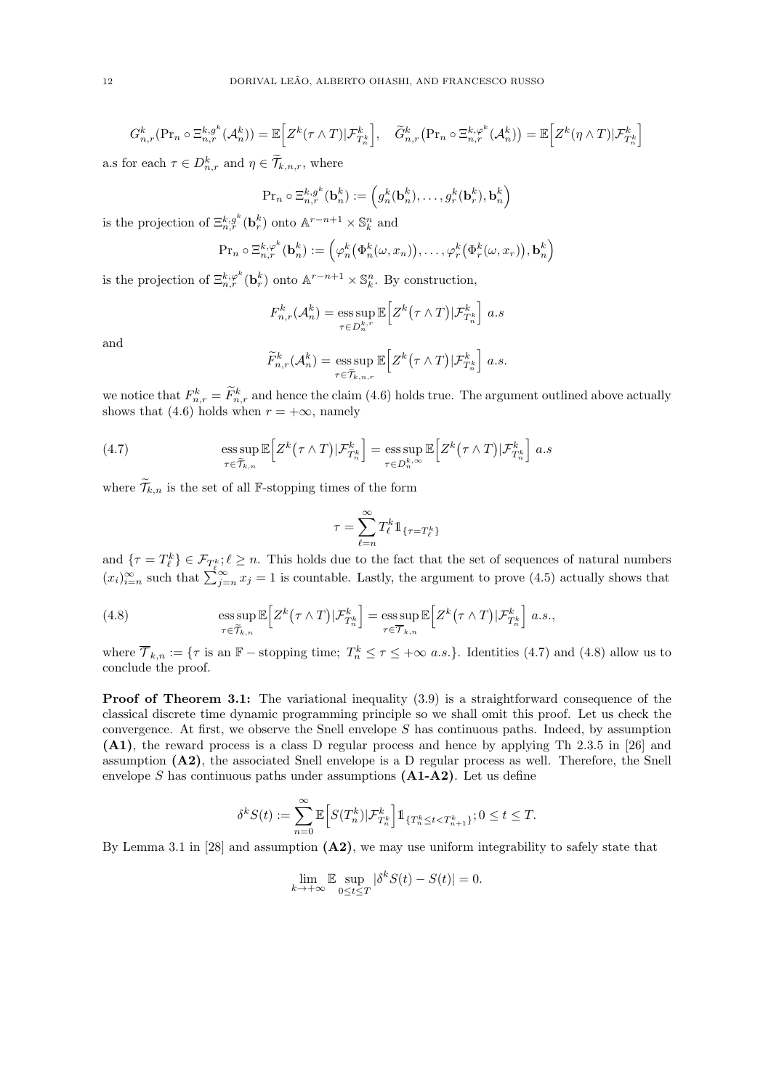$$
G_{n,r}^k(\Pr_n \circ \Xi_{n,r}^{k,g^k}(\mathcal{A}_n^k)) = \mathbb{E}\Big[Z^k(\tau \wedge T)|\mathcal{F}_{T_n}^k\Big], \quad \widetilde{G}_{n,r}^k(\Pr_n \circ \Xi_{n,r}^{k,\varphi^k}(\mathcal{A}_n^k)) = \mathbb{E}\Big[Z^k(\eta \wedge T)|\mathcal{F}_{T_n}^k\Big]
$$

a.s for each  $\tau \in D_{n,r}^k$  and  $\eta \in \widetilde{\mathcal{T}}_{k,n,r}$ , where

$$
\Pr_n \circ \Xi_{n,r}^{k,g^k}(\mathbf{b}_n^k) := \left(g_n^k(\mathbf{b}_n^k), \dots, g_r^k(\mathbf{b}_r^k), \mathbf{b}_n^k\right)
$$

is the projection of  $\Xi_{n,r}^{k,g^k}(\mathbf{b}_r^k)$  onto  $\mathbb{A}^{r-n+1} \times \mathbb{S}_k^n$  and

$$
\Pr_n \circ \Xi_{n,r}^{k,\varphi^k}(\mathbf{b}_n^k) := \left(\varphi_n^k(\Phi_n^k(\omega, x_n)), \dots, \varphi_r^k(\Phi_r^k(\omega, x_r)), \mathbf{b}_n^k\right)
$$

is the projection of  $\Xi_{n,r}^{k,\varphi^k}(\mathbf{b}_r^k)$  onto  $\mathbb{A}^{r-n+1}\times\mathbb{S}_k^n$ . By construction,

$$
F_{n,r}^k(\mathcal{A}_n^k) = \operatorname*{ess\,sup}_{\tau \in D_n^{k,r}} \mathbb{E}\Big[Z^k(\tau \wedge T)|\mathcal{F}_{T_n^k}^k\Big] a.s
$$

and

$$
\widetilde{F}_{n,r}^k(\mathcal{A}_n^k) = \operatorname*{ess\,sup}_{\tau \in \widetilde{\mathcal{T}}_{k,n,r}} \mathbb{E}\Big[Z^k(\tau \wedge T)|\mathcal{F}_{T_n^k}^k\Big] a.s.
$$

we notice that  $F_{n,r}^k = \overline{F}_{n,r}^k$  and hence the claim (4.6) holds true. The argument outlined above actually shows that (4.6) holds when  $r = +\infty$ , namely

(4.7) 
$$
\underset{\tau \in \widetilde{\mathcal{T}}_{k,n}}{\mathrm{ess}\sup} \mathbb{E}\Big[Z^k(\tau \wedge T)|\mathcal{F}^k_{T^k_n}\Big] = \underset{\tau \in D^{k,\infty}_n}{\mathrm{ess}\sup} \mathbb{E}\Big[Z^k(\tau \wedge T)|\mathcal{F}^k_{T^k_n}\Big] a.s
$$

where  $\widetilde{\mathcal{T}}_{k,n}$  is the set of all F-stopping times of the form

$$
\tau = \sum_{\ell=n}^\infty T_\ell^k 1\!\!1_{\{\tau = T_\ell^k\}}
$$

and  $\{\tau = T^k_\ell\} \in \mathcal{F}_{T^k_\ell}; \ell \geq n$ . This holds due to the fact that the set of sequences of natural numbers  $(x_i)_{i=n}^{\infty}$  such that  $\sum_{j=n}^{\infty} x_j = 1$  is countable. Lastly, the argument to prove (4.5) actually shows that

(4.8) 
$$
\underset{\tau \in \widetilde{\mathcal{T}}_{k,n}}{\mathrm{ess}\sup} \mathbb{E}\Big[Z^k(\tau \wedge T)|\mathcal{F}^k_{T^k_n}\Big] = \underset{\tau \in \overline{\mathcal{T}}_{k,n}}{\mathrm{ess}\sup} \mathbb{E}\Big[Z^k(\tau \wedge T)|\mathcal{F}^k_{T^k_n}\Big] \ a.s.,
$$

where  $\overline{\mathcal{T}}_{k,n} := \{\tau \text{ is an } \mathbb{F}-\text{stopping time}; T_n^k \leq \tau \leq +\infty \text{ a.s.}\}.$  Identities (4.7) and (4.8) allow us to conclude the proof.

**Proof of Theorem 3.1:** The variational inequality  $(3.9)$  is a straightforward consequence of the classical discrete time dynamic programming principle so we shall omit this proof. Let us check the convergence. At first, we observe the Snell envelope  $S$  has continuous paths. Indeed, by assumption (A1), the reward process is a class D regular process and hence by applying Th 2.3.5 in [26] and assumption (A2), the associated Snell envelope is a D regular process as well. Therefore, the Snell envelope S has continuous paths under assumptions  $(A1-A2)$ . Let us define

$$
\delta^k S(t) := \sum_{n=0}^{\infty} \mathbb{E}\Big[S(T_n^k)|\mathcal{F}_{T_n^k}^k\Big] \mathbb{1}_{\{T_n^k \le t < T_{n+1}^k\}}; 0 \le t \le T.
$$

By Lemma 3.1 in [28] and assumption  $(A2)$ , we may use uniform integrability to safely state that

$$
\lim_{k \to +\infty} \mathbb{E} \sup_{0 \le t \le T} |\delta^k S(t) - S(t)| = 0.
$$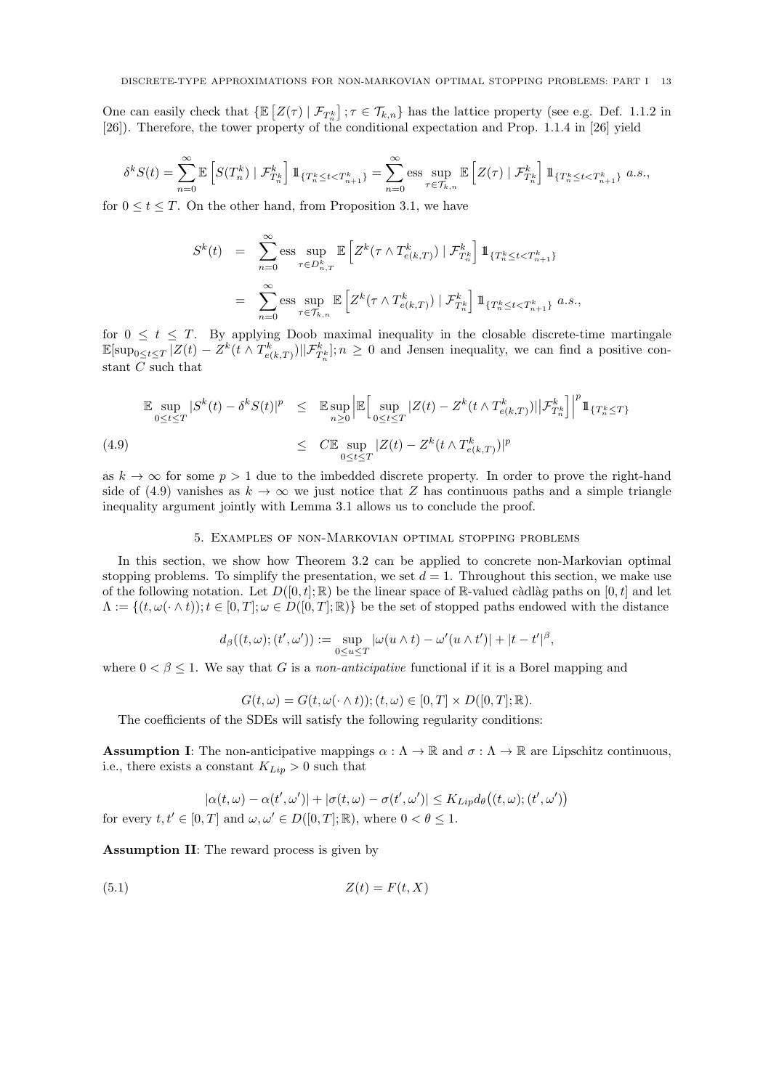One can easily check that  $\{\mathbb{E}\left[Z(\tau) \mid \mathcal{F}_{T_n^k}\right]$ ;  $\tau \in \mathcal{T}_{k,n}\}$  has the lattice property (see e.g. Def. 1.1.2 in [26]). Therefore, the tower property of the conditional expectation and Prop. 1.1.4 in [26] yield

$$
\delta^k S(t) = \sum_{n=0}^{\infty} \mathbb{E}\left[S(T_n^k) \mid \mathcal{F}_{T_n^k}^k\right] \mathbb{1}_{\{T_n^k \le t < T_{n+1}^k\}} = \sum_{n=0}^{\infty} \text{ess} \sup_{\tau \in \mathcal{T}_{k,n}} \mathbb{E}\left[Z(\tau) \mid \mathcal{F}_{T_n^k}^k\right] \mathbb{1}_{\{T_n^k \le t < T_{n+1}^k\}} \ a.s.,
$$

for  $0 \le t \le T$ . On the other hand, from Proposition 3.1, we have

$$
S^{k}(t) = \sum_{n=0}^{\infty} \text{ess} \sup_{\tau \in D_{n,T}^{k}} \mathbb{E}\left[Z^{k}(\tau \wedge T_{e(k,T)}^{k}) \mid \mathcal{F}_{T_{n}^{k}}^{k}\right] 1\!\!1_{\{T_{n}^{k} \leq t < T_{n+1}^{k}\}}
$$

$$
= \sum_{n=0}^{\infty} \text{ess} \sup_{\tau \in \mathcal{T}_{k,n}} \mathbb{E}\left[Z^{k}(\tau \wedge T_{e(k,T)}^{k}) \mid \mathcal{F}_{T_{n}^{k}}^{k}\right] 1\!\!1_{\{T_{n}^{k} \leq t < T_{n+1}^{k}\}} a.s.,
$$

for  $0 \leq t \leq T$ . By applying Doob maximal inequality in the closable discrete-time martingale  $\mathbb{E}[\sup_{0\leq t\leq T}|Z(t)-Z^k(t\wedge T^k_{e(k,T)})||\mathcal{F}^k_{T^k_n}];n\geq 0$  and Jensen inequality, we can find a positive constant C such that

$$
\mathbb{E} \sup_{0 \le t \le T} |S^k(t) - \delta^k S(t)|^p \le \mathbb{E} \sup_{n \ge 0} \left| \mathbb{E} \Big[ \sup_{0 \le t \le T} |Z(t) - Z^k(t \wedge T_{e(k,T)}^k)| \Big| \mathcal{F}_{T_n^k}^k \Big] \right|^p 1\!\!1_{\{T_n^k \le T\}}
$$
\n(4.9)\n
$$
\le C \mathbb{E} \sup_{0 \le t \le T} |Z(t) - Z^k(t \wedge T_{e(k,T)}^k)|^p
$$

as  $k \to \infty$  for some  $p > 1$  due to the imbedded discrete property. In order to prove the right-hand side of (4.9) vanishes as  $k \to \infty$  we just notice that Z has continuous paths and a simple triangle inequality argument jointly with Lemma 3.1 allows us to conclude the proof.

# 5. Examples of non-Markovian optimal stopping problems

In this section, we show how Theorem 3.2 can be applied to concrete non-Markovian optimal stopping problems. To simplify the presentation, we set  $d = 1$ . Throughout this section, we make use of the following notation. Let  $D([0, t]; \mathbb{R})$  be the linear space of  $\mathbb{R}$ -valued càdlàg paths on [0, t] and let  $\Lambda := \{(t, \omega(\cdot \wedge t)) : t \in [0, T]; \omega \in D([0, T]; \mathbb{R})\}$  be the set of stopped paths endowed with the distance

$$
d_{\beta}((t,\omega);(t',\omega')):=\sup_{0\leq u\leq T}|\omega(u\wedge t)-\omega'(u\wedge t')|+|t-t'|^{\beta},
$$

where  $0 < \beta \leq 1$ . We say that G is a non-anticipative functional if it is a Borel mapping and

$$
G(t, \omega) = G(t, \omega(\cdot \wedge t)); (t, \omega) \in [0, T] \times D([0, T]; \mathbb{R}).
$$

The coefficients of the SDEs will satisfy the following regularity conditions:

**Assumption I:** The non-anticipative mappings  $\alpha : \Lambda \to \mathbb{R}$  and  $\sigma : \Lambda \to \mathbb{R}$  are Lipschitz continuous, i.e., there exists a constant  $K_{Lip} > 0$  such that

$$
|\alpha(t,\omega) - \alpha(t',\omega')| + |\sigma(t,\omega) - \sigma(t',\omega')| \leq K_{Lip} d_{\theta}((t,\omega); (t',\omega'))
$$

for every  $t, t' \in [0, T]$  and  $\omega, \omega' \in D([0, T]; \mathbb{R})$ , where  $0 < \theta \leq 1$ .

Assumption II: The reward process is given by

$$
(5.1)\t\t Z(t) = F(t, X)
$$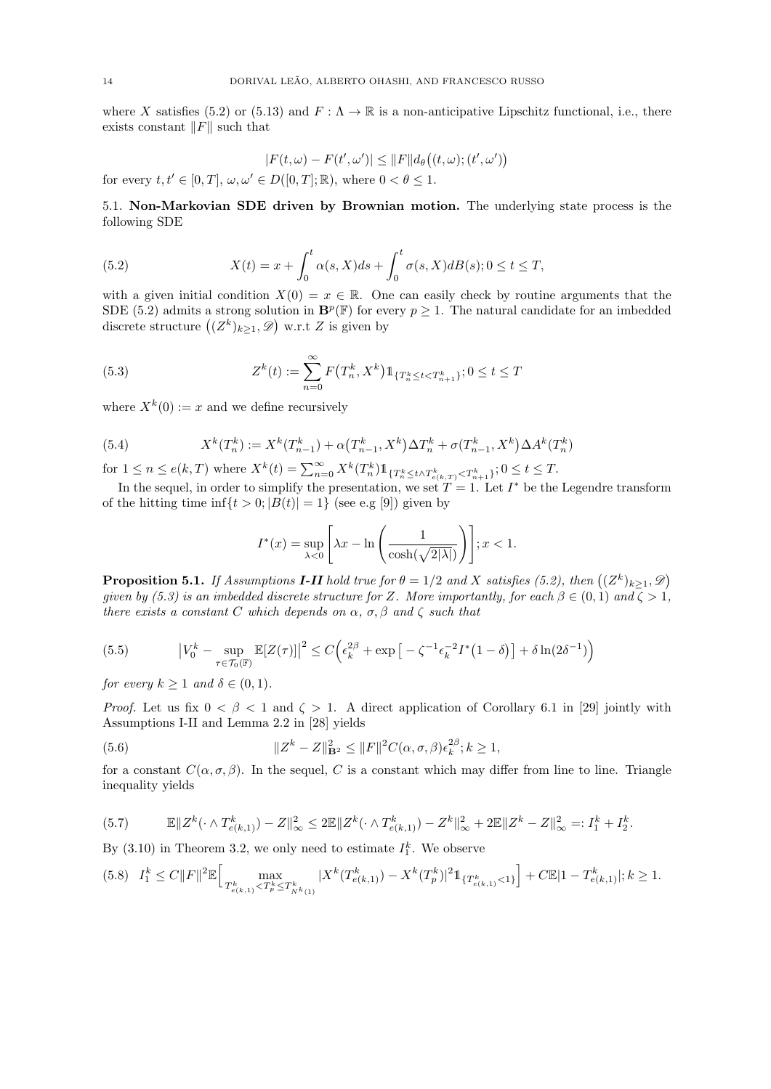where X satisfies (5.2) or (5.13) and  $F : \Lambda \to \mathbb{R}$  is a non-anticipative Lipschitz functional, i.e., there exists constant  $||F||$  such that

$$
|F(t,\omega) - F(t',\omega')| \le ||F|| d_{\theta}((t,\omega); (t',\omega'))
$$
  
for every  $t, t' \in [0,T]$ ,  $\omega, \omega' \in D([0,T]; \mathbb{R})$ , where  $0 < \theta \le 1$ .

5.1. Non-Markovian SDE driven by Brownian motion. The underlying state process is the following SDE

(5.2) 
$$
X(t) = x + \int_0^t \alpha(s, X)ds + \int_0^t \sigma(s, X)dB(s); 0 \le t \le T,
$$

with a given initial condition  $X(0) = x \in \mathbb{R}$ . One can easily check by routine arguments that the SDE (5.2) admits a strong solution in  $\mathbf{B}^p(\mathbb{F})$  for every  $p \geq 1$ . The natural candidate for an imbedded discrete structure  $((Z^k)_{k\geq 1}, \mathscr{D})$  w.r.t Z is given by

(5.3) 
$$
Z^{k}(t) := \sum_{n=0}^{\infty} F(T^{k}_{n}, X^{k}) 1_{\{T^{k}_{n} \leq t < T^{k}_{n+1}\}}; 0 \leq t \leq T
$$

where  $X^k(0) := x$  and we define recursively

(5.4) 
$$
X^{k}(T_{n}^{k}) := X^{k}(T_{n-1}^{k}) + \alpha (T_{n-1}^{k}, X^{k}) \Delta T_{n}^{k} + \sigma (T_{n-1}^{k}, X^{k}) \Delta A^{k}(T_{n}^{k})
$$

for  $1 \leq n \leq e(k,T)$  where  $X^{k}(t) = \sum_{n=0}^{\infty} X^{k}(T_{n}^{k}) 1_{\{T_{n}^{k} \leq t \wedge T_{e(k,T)}^{k} \leq T_{n+1}^{k}\}}; 0 \leq t \leq T$ .

In the sequel, in order to simplify the presentation, we set  $T = 1$ . Let  $I^*$  be the Legendre transform of the hitting time inf $\{t > 0; |B(t)| = 1\}$  (see e.g [9]) given by

$$
I^*(x) = \sup_{\lambda < 0} \left[ \lambda x - \ln \left( \frac{1}{\cosh(\sqrt{2|\lambda|})} \right) \right]; x < 1.
$$

**Proposition 5.1.** If Assumptions **I-II** hold true for  $\theta = 1/2$  and X satisfies (5.2), then  $((Z^k)_{k \geq 1}, \mathscr{D})$ given by (5.3) is an imbedded discrete structure for Z. More importantly, for each  $\beta \in (0,1)$  and  $\zeta > 1$ , there exists a constant C which depends on  $\alpha$ ,  $\sigma$ ,  $\beta$  and  $\zeta$  such that

(5.5) 
$$
\left|V_0^k - \sup_{\tau \in \mathcal{T}_0(\mathbb{F})} \mathbb{E}[Z(\tau)]\right|^2 \le C \left(\epsilon_k^{2\beta} + \exp\left[-\zeta^{-1}\epsilon_k^{-2}I^*(1-\delta)\right] + \delta \ln(2\delta^{-1})\right)
$$

for every  $k \geq 1$  and  $\delta \in (0,1)$ .

*Proof.* Let us fix  $0 < \beta < 1$  and  $\zeta > 1$ . A direct application of Corollary 6.1 in [29] jointly with Assumptions I-II and Lemma 2.2 in [28] yields

(5.6) 
$$
||Z^{k} - Z||_{\mathbf{B}^{2}}^{2} \leq ||F||^{2} C(\alpha, \sigma, \beta) \epsilon_{k}^{2\beta}; k \geq 1,
$$

for a constant  $C(\alpha, \sigma, \beta)$ . In the sequel, C is a constant which may differ from line to line. Triangle inequality yields

$$
(5.7) \t\t\t\t\mathbb{E}\|Z^k(\cdot \wedge T^k_{e(k,1)}) - Z\|^2_{\infty} \le 2 \mathbb{E}\|Z^k(\cdot \wedge T^k_{e(k,1)}) - Z^k\|^2_{\infty} + 2 \mathbb{E}\|Z^k - Z\|^2_{\infty} =: I_1^k + I_2^k.
$$

By  $(3.10)$  in Theorem 3.2, we only need to estimate  $I_1^k$ . We observe

$$
(5.8)\quad I^k_1\leq C\|F\|^2\mathbb{E}\Big[\max_{T^k_{e(k,1)}< T^k_p\leq T^k_{N^k(1)}}|X^k(T^k_{e(k,1)})-X^k(T^k_p)|^2\mathbb{1}_{\{T^k_{e(k,1)}<1\}}\Big]+C\mathbb{E}|1-T^k_{e(k,1)}|; k\geq 1.
$$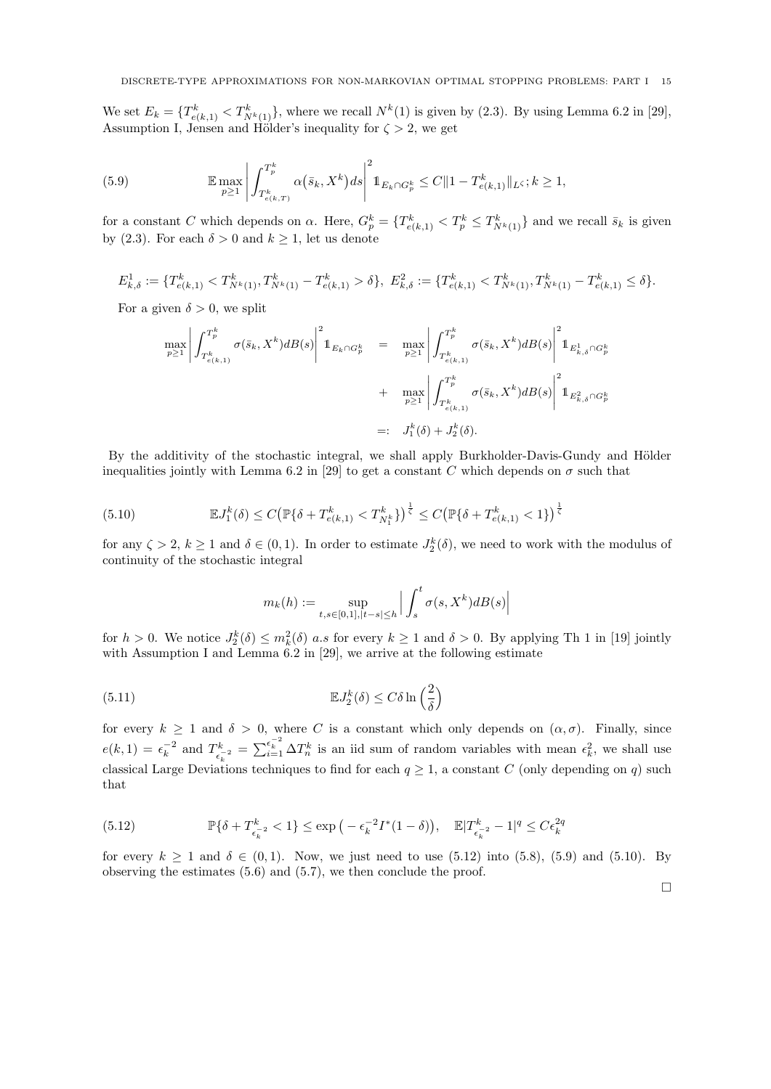We set  $E_k = \{T_{e(k,1)}^k < T_{N^k(1)}^k\}$ , where we recall  $N^k(1)$  is given by (2.3). By using Lemma 6.2 in [29], Assumption I, Jensen and Hölder's inequality for  $\zeta > 2$ , we get

(5.9) 
$$
\mathbb{E} \max_{p \ge 1} \left| \int_{T_{e(k,T)}^k}^{T_p^k} \alpha(\bar{s}_k, X^k) ds \right|^2 \mathbb{1}_{E_k \cap G_p^k} \le C \|1 - T_{e(k,1)}^k\|_{L^{\zeta}}; k \ge 1,
$$

for a constant C which depends on  $\alpha$ . Here,  $G_p^k = \{T_{e(k,1)}^k < T_p^k \le T_{N^k(1)}^k\}$  and we recall  $\bar{s}_k$  is given by (2.3). For each  $\delta > 0$  and  $k \geq 1$ , let us denote

 $E_{k,\delta}^1 := \{ T_{e(k,1)}^k < T_{N^k(1)}^k, T_{N^k(1)}^k - T_{e(k,1)}^k > \delta \},\ E_{k,\delta}^2 := \{ T_{e(k,1)}^k < T_{N^k(1)}^k, T_{N^k(1)}^k - T_{e(k,1)}^k \leq \delta \}.$ 

For a given  $\delta > 0$ , we split

$$
\max_{p\geq 1} \left| \int_{T_{e(k,1)}^k}^{T_p^k} \sigma(\bar{s}_k, X^k) dB(s) \right|^2 \mathbb{1}_{E_k \cap G_p^k} = \max_{p\geq 1} \left| \int_{T_{e(k,1)}^k}^{T_p^k} \sigma(\bar{s}_k, X^k) dB(s) \right|^2 \mathbb{1}_{E_{k,\delta}^1 \cap G_p^k} + \max_{p\geq 1} \left| \int_{T_{e(k,1)}^k}^{T_p^k} \sigma(\bar{s}_k, X^k) dB(s) \right|^2 \mathbb{1}_{E_{k,\delta}^2 \cap G_p^k}
$$
  

$$
=: J_1^k(\delta) + J_2^k(\delta).
$$

By the additivity of the stochastic integral, we shall apply Burkholder-Davis-Gundy and Hölder inequalities jointly with Lemma 6.2 in [29] to get a constant C which depends on  $\sigma$  such that

(5.10) 
$$
\mathbb{E}J_1^k(\delta) \le C \big(\mathbb{P}\{\delta + T_{e(k,1)}^k < T_{N_1^k}^k\}\big)^{\frac{1}{\zeta}} \le C \big(\mathbb{P}\{\delta + T_{e(k,1)}^k < 1\}\big)^{\frac{1}{\zeta}}
$$

for any  $\zeta > 2$ ,  $k \ge 1$  and  $\delta \in (0,1)$ . In order to estimate  $J_2^k(\delta)$ , we need to work with the modulus of continuity of the stochastic integral

$$
m_k(h) := \sup_{t,s \in [0,1], |t-s| \le h} \left| \int_s^t \sigma(s, X^k) dB(s) \right|
$$

for  $h > 0$ . We notice  $J_2^k(\delta) \leq m_k^2(\delta)$  a.s for every  $k \geq 1$  and  $\delta > 0$ . By applying Th 1 in [19] jointly with Assumption I and Lemma 6.2 in [29], we arrive at the following estimate

(5.11) 
$$
\mathbb{E}J_2^k(\delta) \le C\delta \ln\left(\frac{2}{\delta}\right)
$$

for every  $k \ge 1$  and  $\delta > 0$ , where C is a constant which only depends on  $(\alpha, \sigma)$ . Finally, since  $e(k,1) = \epsilon_k^{-2}$  and  $T_{\epsilon_k}^k$  $\epsilon_{\epsilon_k}^{k} = \sum_{i=1}^{\epsilon_k^{-2}} \Delta T_n^k$  is an iid sum of random variables with mean  $\epsilon_k^2$ , we shall use classical Large Deviations techniques to find for each  $q \ge 1$ , a constant C (only depending on q) such that

(5.12) 
$$
\mathbb{P}\{\delta + T_{\epsilon_k^{-2}}^k < 1\} \le \exp\left(-\epsilon_k^{-2} I^*(1-\delta)\right), \quad \mathbb{E}|T_{\epsilon_k^{-2}}^k - 1|^q \le C\epsilon_k^{2q}
$$

for every  $k \ge 1$  and  $\delta \in (0, 1)$ . Now, we just need to use (5.12) into (5.8), (5.9) and (5.10). By observing the estimates (5.6) and (5.7), we then conclude the proof.

 $\Box$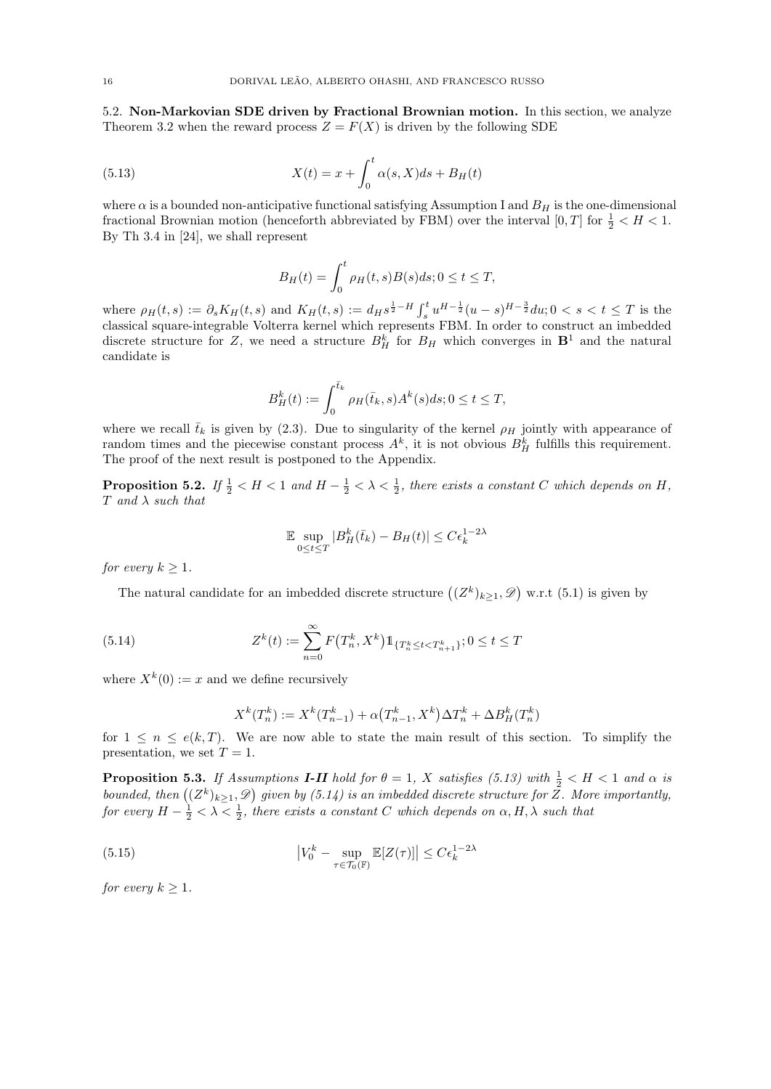5.2. Non-Markovian SDE driven by Fractional Brownian motion. In this section, we analyze Theorem 3.2 when the reward process  $Z = F(X)$  is driven by the following SDE

(5.13) 
$$
X(t) = x + \int_0^t \alpha(s, X)ds + B_H(t)
$$

where  $\alpha$  is a bounded non-anticipative functional satisfying Assumption I and  $B_H$  is the one-dimensional fractional Brownian motion (henceforth abbreviated by FBM) over the interval  $[0, T]$  for  $\frac{1}{2} < H < 1$ . By Th 3.4 in [24], we shall represent

$$
B_H(t) = \int_0^t \rho_H(t, s) B(s) ds; 0 \le t \le T,
$$

where  $\rho_H(t,s) := \partial_s K_H(t,s)$  and  $K_H(t,s) := d_H s^{\frac{1}{2}-H} \int_s^t u^{H-\frac{1}{2}} (u-s)^{H-\frac{3}{2}} du; 0 < s < t \leq T$  is the classical square-integrable Volterra kernel which represents FBM. In order to construct an imbedded discrete structure for Z, we need a structure  $B_H^k$  for  $B_H$  which converges in  $\mathbf{B}^1$  and the natural candidate is

$$
B_H^k(t) := \int_0^{\bar{t}_k} \rho_H(\bar{t}_k, s) A^k(s) ds; 0 \le t \le T,
$$

where we recall  $\bar{t}_k$  is given by (2.3). Due to singularity of the kernel  $\rho_H$  jointly with appearance of random times and the piecewise constant process  $A^k$ , it is not obvious  $B_H^k$  fulfills this requirement. The proof of the next result is postponed to the Appendix.

**Proposition 5.2.** If  $\frac{1}{2} < H < 1$  and  $H - \frac{1}{2} < \lambda < \frac{1}{2}$ , there exists a constant C which depends on H,  $T$  and  $\lambda$  such that

$$
\mathbb{E} \sup_{0 \le t \le T} |B_H^k(\bar{t}_k) - B_H(t)| \le C \epsilon_k^{1-2\lambda}
$$

for every  $k \geq 1$ .

The natural candidate for an imbedded discrete structure  $((Z^k)_{k\geq 1}, \mathscr{D})$  w.r.t  $(5.1)$  is given by

(5.14) 
$$
Z^{k}(t) := \sum_{n=0}^{\infty} F(T^{k}_{n}, X^{k}) 1_{\{T^{k}_{n} \leq t < T^{k}_{n+1}\}}; 0 \leq t \leq T
$$

where  $X^k(0) := x$  and we define recursively

$$
X^{k}(T_{n}^{k}) := X^{k}(T_{n-1}^{k}) + \alpha(T_{n-1}^{k}, X^{k})\Delta T_{n}^{k} + \Delta B_{H}^{k}(T_{n}^{k})
$$

for  $1 \leq n \leq e(k,T)$ . We are now able to state the main result of this section. To simplify the presentation, we set  $T = 1$ .

**Proposition 5.3.** If Assumptions **I-II** hold for  $\theta = 1$ , X satisfies (5.13) with  $\frac{1}{2} < H < 1$  and  $\alpha$  is bounded, then  $((Z^k)_{k\geq 1}, \mathscr{D})$  given by  $(5.14)$  is an imbedded discrete structure for Z. More importantly, for every  $H - \frac{1}{2} < \lambda < \frac{1}{2}$ , there exists a constant C which depends on  $\alpha, H, \lambda$  such that

(5.15) 
$$
\left|V_0^k - \sup_{\tau \in \mathcal{T}_0(\mathbb{F})} \mathbb{E}[Z(\tau)]\right| \leq C \epsilon_k^{1-2\lambda}
$$

for every  $k \geq 1$ .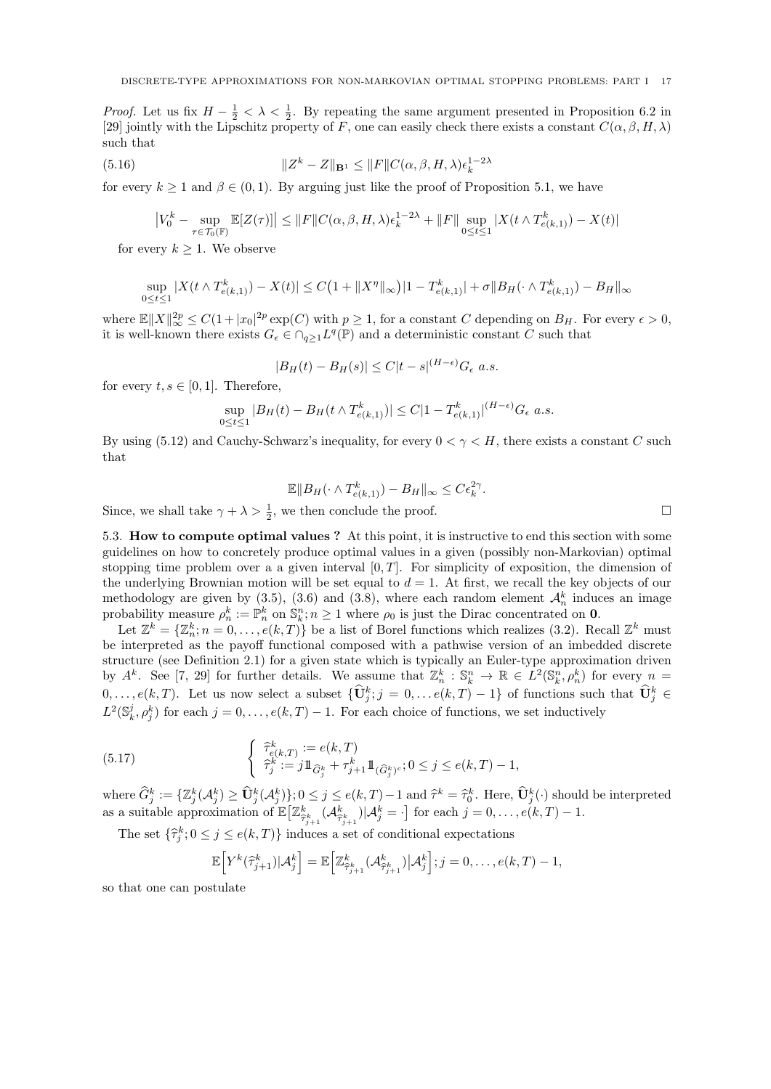*Proof.* Let us fix  $H - \frac{1}{2} < \lambda < \frac{1}{2}$ . By repeating the same argument presented in Proposition 6.2 in [29] jointly with the Lipschitz property of F, one can easily check there exists a constant  $C(\alpha, \beta, H, \lambda)$ such that

(5.16) 
$$
||Z^k - Z||_{\mathbf{B}^1} \le ||F||C(\alpha, \beta, H, \lambda)\epsilon_k^{1-2\lambda}
$$

for every  $k \ge 1$  and  $\beta \in (0, 1)$ . By arguing just like the proof of Proposition 5.1, we have

$$
\left|V_0^k - \sup_{\tau \in \mathcal{T}_0(\mathbb{F})} \mathbb{E}[Z(\tau)]\right| \leq \|F\| C(\alpha, \beta, H, \lambda) \epsilon_k^{1-2\lambda} + \|F\| \sup_{0 \leq t \leq 1} |X(t \wedge T_{e(k,1)}^k) - X(t)|
$$

for every  $k \geq 1$ . We observe

$$
\sup_{0 \le t \le 1} |X(t \wedge T_{e(k,1)}^k) - X(t)| \le C\left(1 + \|X^{\eta}\|_{\infty}\right)|1 - T_{e(k,1)}^k| + \sigma \|B_H(\cdot \wedge T_{e(k,1)}^k) - B_H\|_{\infty}
$$

where  $\mathbb{E} \|X\|_{\infty}^{2p} \leq C(1+|x_0|^{2p} \exp(C))$  with  $p \geq 1$ , for a constant C depending on  $B_H$ . For every  $\epsilon > 0$ , it is well-known there exists  $G_{\epsilon} \in \bigcap_{q\geq 1} L^q(\mathbb{P})$  and a deterministic constant C such that

$$
|B_H(t) - B_H(s)| \le C|t - s|^{(H - \epsilon)}G_{\epsilon} \ a.s.
$$

for every  $t, s \in [0, 1]$ . Therefore,

$$
\sup_{0 \le t \le 1} |B_H(t) - B_H(t \wedge T_{e(k,1)}^k)| \le C|1 - T_{e(k,1)}^k|^{(H-\epsilon)} G_{\epsilon} \text{ a.s.}
$$

By using (5.12) and Cauchy-Schwarz's inequality, for every  $0 < \gamma < H$ , there exists a constant C such that

$$
\mathbb{E} \|B_H(\cdot \wedge T^k_{e(k,1)}) - B_H\|_{\infty} \le C \epsilon_k^{2\gamma}.
$$

Since, we shall take  $\gamma + \lambda > \frac{1}{2}$ , we then conclude the proof.

5.3. How to compute optimal values ? At this point, it is instructive to end this section with some guidelines on how to concretely produce optimal values in a given (possibly non-Markovian) optimal stopping time problem over a a given interval  $[0, T]$ . For simplicity of exposition, the dimension of the underlying Brownian motion will be set equal to  $d = 1$ . At first, we recall the key objects of our methodology are given by  $(3.5)$ ,  $(3.6)$  and  $(3.8)$ , where each random element  $\mathcal{A}_n^k$  induces an image probability measure  $\rho_n^k := \mathbb{P}_n^k$  on  $\mathbb{S}_k^n$ ;  $n \geq 1$  where  $\rho_0$  is just the Dirac concentrated on **0**.

Let  $\mathbb{Z}^k = \{ \mathbb{Z}_n^k : n = 0, \ldots, e(k, T) \}$  be a list of Borel functions which realizes (3.2). Recall  $\mathbb{Z}^k$  must be interpreted as the payoff functional composed with a pathwise version of an imbedded discrete structure (see Definition 2.1) for a given state which is typically an Euler-type approximation driven by  $A^k$ . See [7, 29] for further details. We assume that  $\mathbb{Z}_n^k : \mathbb{S}_k^n \to \mathbb{R} \in L^2(\mathbb{S}_k^n, \rho_n^k)$  for every  $n =$  $0,\ldots,e(k,T)$ . Let us now select a subset  $\{\hat{\mathbf{U}}_j^k; j = 0,\ldots e(k,T)-1\}$  of functions such that  $\hat{\mathbf{U}}_j^k \in$  $L^2(\mathbb{S}_k^j, \rho_j^k)$  for each  $j = 0, \ldots, e(k,T) - 1$ . For each choice of functions, we set inductively

(5.17) 
$$
\begin{cases} \ \widehat{\tau}_{e(k,T)}^k := e(k,T) \\ \ \widehat{\tau}_j^k := j 1\!\!1_{\widehat{G}_j^k} + \tau_{j+1}^k 1\!\!1_{(\widehat{G}_j^k)^c}; 0 \leq j \leq e(k,T) - 1, \end{cases}
$$

where  $\widehat{G}_j^k := \{ \mathbb{Z}_j^k(\mathcal{A}_j^k) \geq \widehat{U}_j^k(\mathcal{A}_j^k) \}; 0 \leq j \leq e(k,T) - 1 \text{ and } \widehat{\tau}^k = \widehat{\tau}_0^k$ . Here,  $\widehat{U}_j^k(\cdot)$  should be interpreted as a suitable approximation of  $\mathbb{E}\left[\mathbb{Z}_{\widehat{\tau}_{j+1}}^k(\mathcal{A}_{\widehat{\tau}_{j+1}}^k)|\mathcal{A}_j^k=\cdot\right]$  for each  $j=0,\ldots,e(k,T)-1$ .

The set  $\{\hat{\tau}_j^k; 0 \leq j \leq e(k,T)\}\$  induces a set of conditional expectations

$$
\mathbb{E}\Big[Y^k(\widehat{\tau}_{j+1}^k)|\mathcal{A}_j^k\Big] = \mathbb{E}\Big[\mathbb{Z}^k_{\widehat{\tau}_{j+1}^k}(\mathcal{A}_{\widehat{\tau}_{j+1}^k}^k)|\mathcal{A}_j^k\Big]; j=0,\ldots,e(k,T)-1,
$$

so that one can postulate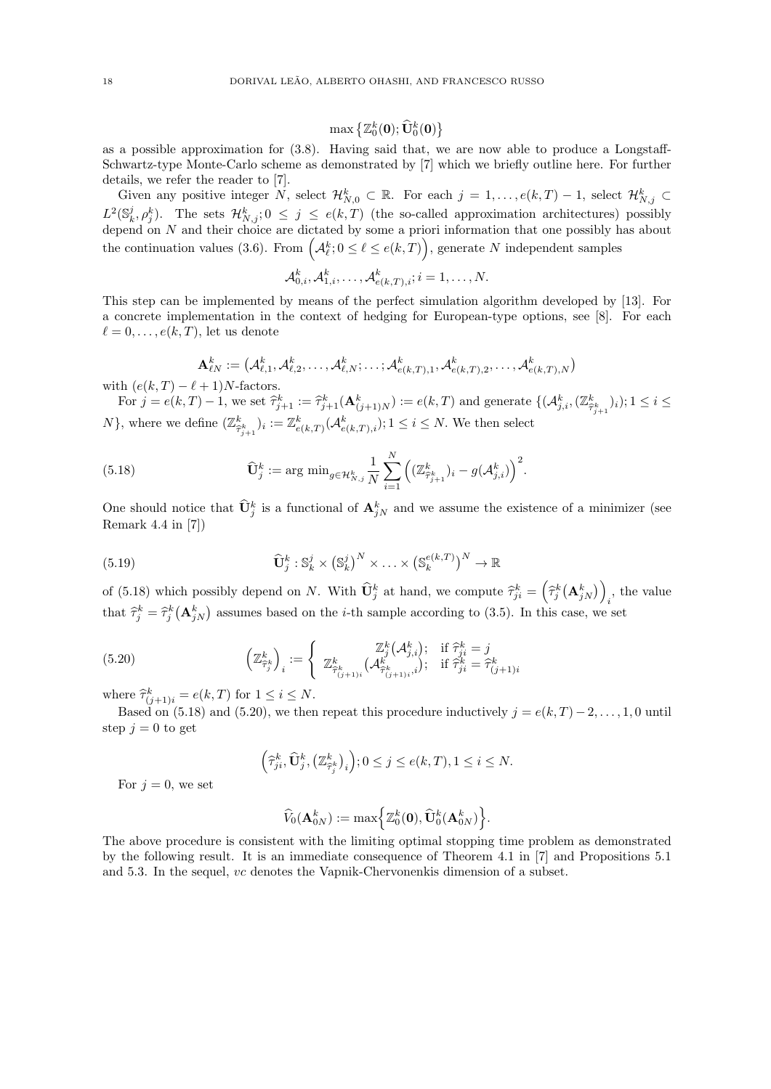$\max\left\{ \mathbb{Z}^k_0(\mathbf{0}); \widehat{\mathbf{U}}^k_0(\mathbf{0}) \right\}$ 

as a possible approximation for (3.8). Having said that, we are now able to produce a Longstaff-Schwartz-type Monte-Carlo scheme as demonstrated by [7] which we briefly outline here. For further details, we refer the reader to [7].

Given any positive integer  $N$ , select  $\mathcal{H}_{N,0}^k \subset \mathbb{R}$ . For each  $j = 1, \ldots, e(k,T) - 1$ , select  $\mathcal{H}_{N,j}^k \subset$  $L^2(\mathbb{S}_k^j, \rho_j^k)$ . The sets  $\mathcal{H}_{N,j}^k; 0 \leq j \leq e(k,T)$  (the so-called approximation architectures) possibly depend on N and their choice are dictated by some a priori information that one possibly has about the continuation values (3.6). From  $(A_{\ell}^k; 0 \leq \ell \leq e(k,T)),$  generate N independent samples

$$
\mathcal{A}_{0,i}^k, \mathcal{A}_{1,i}^k, \ldots, \mathcal{A}_{e(k,T),i}^k; i = 1, \ldots, N.
$$

This step can be implemented by means of the perfect simulation algorithm developed by [13]. For a concrete implementation in the context of hedging for European-type options, see [8]. For each  $\ell = 0, \ldots, e(k, T)$ , let us denote

$$
\mathbf{A}_{\ell N}^k := \left(\mathcal{A}_{\ell,1}^k, \mathcal{A}_{\ell,2}^k, \ldots, \mathcal{A}_{\ell,N}^k; \ldots; \mathcal{A}_{e(k,T),1}^k, \mathcal{A}_{e(k,T),2}^k, \ldots, \mathcal{A}_{e(k,T),N}^k\right)
$$

with  $(e(k, T) - \ell + 1)N$ -factors.

For  $j = e(k,T) - 1$ , we set  $\hat{\tau}_{j+1}^k := \hat{\tau}_{j+1}^k(\mathbf{A}_{(j+1)N}^k) := e(k,T)$  and generate  $\{(\mathcal{A}_{j,i}^k, (\mathbb{Z}_{\hat{\tau}_{j+1}}^k)_i); 1 \le i \le j\}$ N}, where we define  $(\mathbb{Z}^k_{\widehat{\tau}^k_{j+1}})_i := \mathbb{Z}^k_{e(k,T)}(\mathcal{A}^k_{e(k,T),i}); 1 \leq i \leq N$ . We then select

(5.18) 
$$
\widehat{\mathbf{U}}_{j}^{k} := \arg \min_{g \in \mathcal{H}_{N,j}^{k}} \frac{1}{N} \sum_{i=1}^{N} \left( (\mathbb{Z}_{\widehat{\tau}_{j+1}^{k}}^{k})_{i} - g(\mathcal{A}_{j,i}^{k}) \right)^{2}.
$$

One should notice that  $\hat{\mathbf{U}}_j^k$  is a functional of  $\mathbf{A}_{jN}^k$  and we assume the existence of a minimizer (see Remark 4.4 in [7])

(5.19) 
$$
\widehat{\mathbf{U}}_j^k : \mathbb{S}_k^j \times (\mathbb{S}_k^j)^N \times \ldots \times (\mathbb{S}_k^{e(k,T)})^N \to \mathbb{R}
$$

of (5.18) which possibly depend on N. With  $\widehat{\mathbf{U}}_j^k$  at hand, we compute  $\widehat{\tau}_{ji}^k = (\widehat{\tau}_j^k(\mathbf{A}_{jN}^k))$  $i$ , the value that  $\hat{\tau}_j^k = \hat{\tau}_j^k (\mathbf{A}_{jN}^k)$  assumes based on the *i*-th sample according to (3.5). In this case, we set

(5.20) 
$$
\left(\mathbb{Z}_{\widehat{\tau}_j^k}^k\right)_i := \left\{\begin{array}{c} \mathbb{Z}_j^k(\mathcal{A}_{j,i}^k); \quad \text{if } \widehat{\tau}_{ji}^k = j\\ \mathbb{Z}_{\widehat{\tau}_{(j+1)i}^k}^k(\mathcal{A}_{\widehat{\tau}_{(j+1)i}^k}^k); \quad \text{if } \widehat{\tau}_{ji}^k = \widehat{\tau}_{(j+1)i}^k\end{array}\right.
$$

where  $\hat{\tau}_{(j+1)i}^k = e(k,T)$  for  $1 \leq i \leq N$ .

Based on (5.18) and (5.20), we then repeat this procedure inductively  $j = e(k, T) - 2, \ldots, 1, 0$  until step  $j = 0$  to get

$$
\left(\widehat{\tau}_{ji}^k, \widehat{\mathbf{U}}_j^k, \left(\mathbb{Z}^k_{\widehat{\tau}_j^k}\right)_i\right); 0 \le j \le e(k, T), 1 \le i \le N.
$$

For  $i = 0$ , we set

$$
\widehat{V}_0(\mathbf{A}_{0N}^k):=\max\Bigl\{\mathbb{Z}_0^k(\mathbf{0}),\widehat{\mathbf{U}}_0^k(\mathbf{A}_{0N}^k)\Bigr\}.
$$

The above procedure is consistent with the limiting optimal stopping time problem as demonstrated by the following result. It is an immediate consequence of Theorem 4.1 in [7] and Propositions 5.1 and 5.3. In the sequel, vc denotes the Vapnik-Chervonenkis dimension of a subset.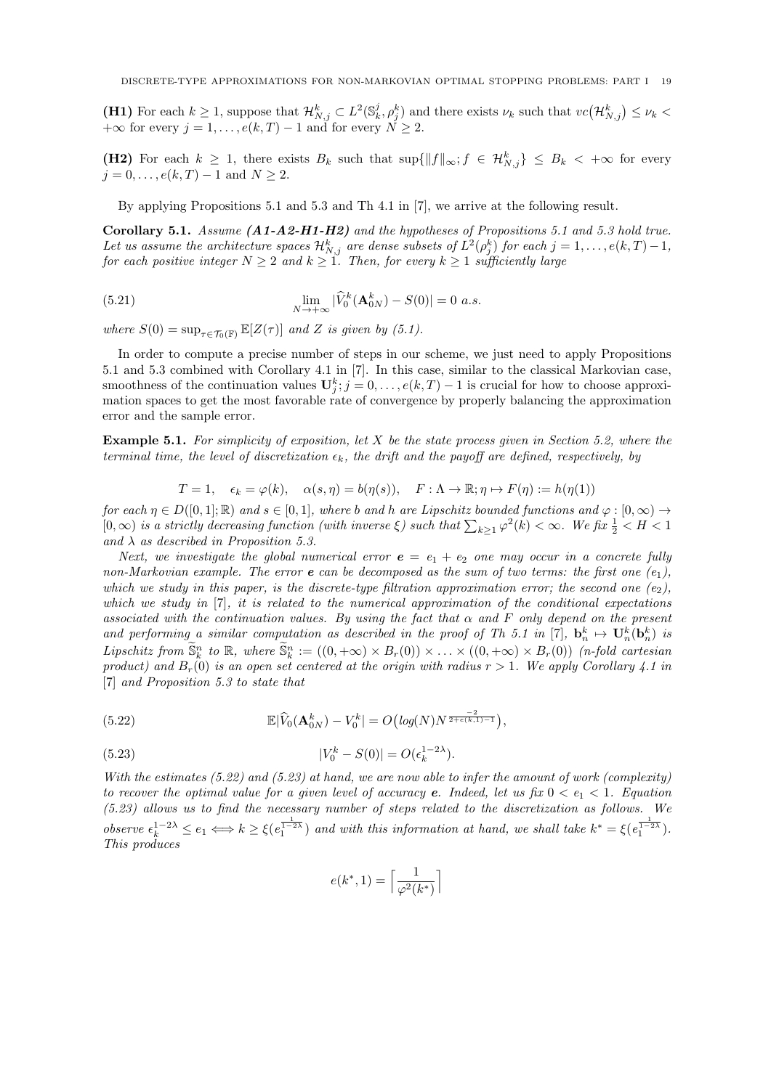(H1) For each  $k \geq 1$ , suppose that  $\mathcal{H}_{N,j}^k \subset L^2(\mathbb{S}_k^j, \rho_j^k)$  and there exists  $\nu_k$  such that  $vc(\mathcal{H}_{N,j}^k) \leq \nu_k$  $+\infty$  for every  $j = 1, \ldots, e(k, T) - 1$  and for every  $N \geq 2$ .

(H2) For each  $k \geq 1$ , there exists  $B_k$  such that  $\sup\{\|f\|_{\infty}; f \in \mathcal{H}_{N,j}^k\} \leq B_k$  <  $+\infty$  for every  $j = 0, \ldots, e(k, T) - 1$  and  $N \ge 2$ .

By applying Propositions 5.1 and 5.3 and Th 4.1 in [7], we arrive at the following result.

Corollary 5.1. Assume (A1-A2-H1-H2) and the hypotheses of Propositions 5.1 and 5.3 hold true. Let us assume the architecture spaces  $\mathcal{H}_{N,j}^k$  are dense subsets of  $L^2(\rho_j^k)$  for each  $j = 1, \ldots, e(k,T)-1,$ for each positive integer  $N \geq 2$  and  $k \geq 1$ . Then, for every  $k \geq 1$  sufficiently large

(5.21) 
$$
\lim_{N \to +\infty} |\widehat{V}_0^k(\mathbf{A}_{0N}^k) - S(0)| = 0 \text{ a.s.}
$$

where  $S(0) = \sup_{\tau \in \mathcal{T}_0(\mathbb{F})} \mathbb{E}[Z(\tau)]$  and Z is given by (5.1).

In order to compute a precise number of steps in our scheme, we just need to apply Propositions 5.1 and 5.3 combined with Corollary 4.1 in [7]. In this case, similar to the classical Markovian case, smoothness of the continuation values  $\mathbf{U}_j^k$ ;  $j = 0, \ldots, e(k, T) - 1$  is crucial for how to choose approximation spaces to get the most favorable rate of convergence by properly balancing the approximation error and the sample error.

**Example 5.1.** For simplicity of exposition, let  $X$  be the state process given in Section 5.2, where the terminal time, the level of discretization  $\epsilon_k$ , the drift and the payoff are defined, respectively, by

$$
T = 1, \quad \epsilon_k = \varphi(k), \quad \alpha(s, \eta) = b(\eta(s)), \quad F : \Lambda \to \mathbb{R}; \eta \mapsto F(\eta) := h(\eta(1))
$$

for each  $\eta \in D([0,1]; \mathbb{R})$  and  $s \in [0,1]$ , where b and h are Lipschitz bounded functions and  $\varphi : [0,\infty) \to$  $[0,\infty)$  is a strictly decreasing function (with inverse  $\xi$ ) such that  $\sum_{k\geq 1} \varphi^2(k) < \infty$ . We fix  $\frac{1}{2} < H < 1$ and  $\lambda$  as described in Proposition 5.3.

Next, we investigate the global numerical error  $e = e_1 + e_2$  one may occur in a concrete fully non-Markovian example. The error  $e$  can be decomposed as the sum of two terms: the first one  $(e_1)$ , which we study in this paper, is the discrete-type filtration approximation error; the second one  $(e_2)$ , which we study in  $[7]$ , it is related to the numerical approximation of the conditional expectations associated with the continuation values. By using the fact that  $\alpha$  and F only depend on the present and performing a similar computation as described in the proof of Th 5.1 in [7],  $\mathbf{b}_n^k \mapsto \mathbf{U}_n^k(\mathbf{b}_n^k)$  is Lipschitz from  $\widetilde{S}_k^n$  to  $\mathbb{R}$ , where  $\widetilde{S}_k^n := ((0, +\infty) \times B_r(0)) \times \ldots \times ((0, +\infty) \times B_r(0))$  (n-fold cartesian product) and  $B_r(0)$  is an open set centered at the origin with radius  $r > 1$ . We apply Corollary 4.1 in [7] and Proposition 5.3 to state that

(5.22) 
$$
\mathbb{E}|\widehat{V}_0(\mathbf{A}_{0N}^k)-V_0^k|=O\big(log(N)N^{\frac{-2}{2+\epsilon(k,1)-1}}\big),
$$

(5.23) 
$$
|V_0^k - S(0)| = O(\epsilon_k^{1-2\lambda}).
$$

With the estimates  $(5.22)$  and  $(5.23)$  at hand, we are now able to infer the amount of work (complexity) to recover the optimal value for a given level of accuracy **e**. Indeed, let us fix  $0 < e_1 < 1$ . Equation (5.23) allows us to find the necessary number of steps related to the discretization as follows. We observe  $\epsilon_k^{1-2\lambda} \leq e_1 \Longleftrightarrow k \geq \xi(e_1^{\frac{1}{1-2\lambda}})$  and with this information at hand, we shall take  $k^* = \xi(e_1^{\frac{1}{1-2\lambda}})$ . This produces

$$
e(k^*,1)=\Big\lceil\frac{1}{\varphi^2(k^*)}\Big\rceil
$$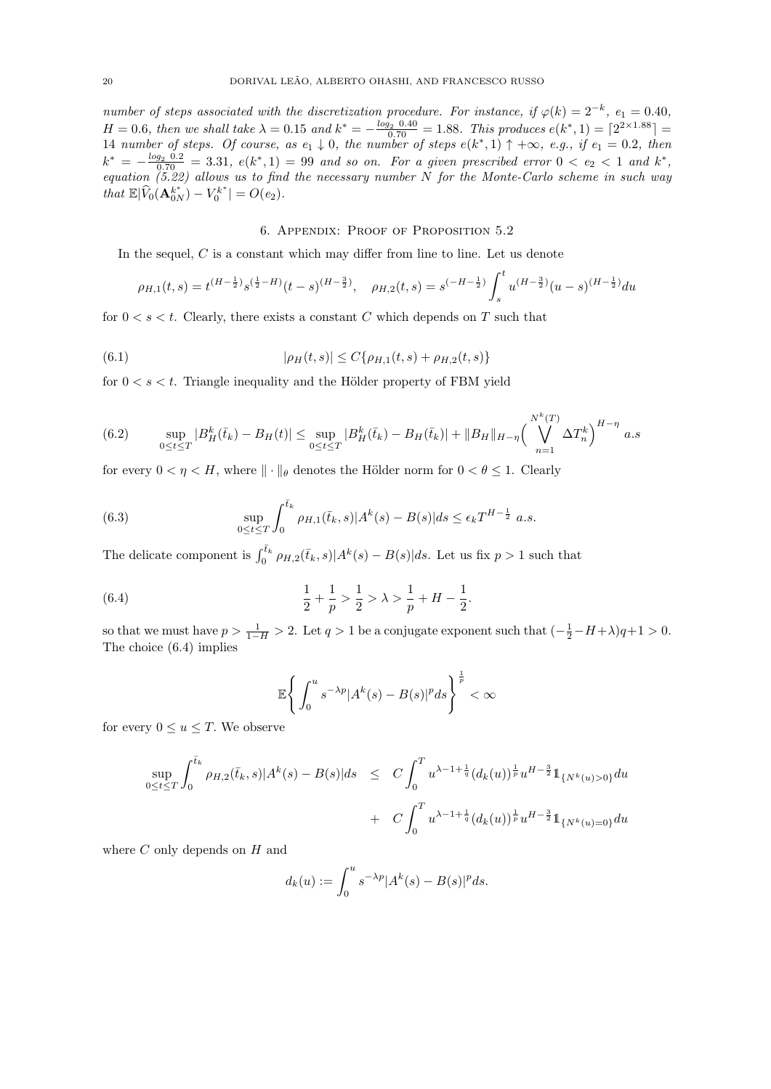number of steps associated with the discretization procedure. For instance, if  $\varphi(k) = 2^{-k}$ ,  $e_1 = 0.40$ ,  $H = 0.6$ , then we shall take  $\lambda = 0.15$  and  $k^* = -\frac{\log_2 0.40}{0.70} = 1.88$ . This produces  $e(k^*, 1) = \lceil 2^{2 \times 1.88} \rceil =$ 14 number of steps. Of course, as  $e_1 \downarrow 0$ , the number of steps  $e(k^*, 1) \uparrow +\infty$ , e.g., if  $e_1 = 0.2$ , then  $k^* = -\frac{\log_2 0.2}{0.70} = 3.31, e(k^*, 1) = 99$  and so on. For a given prescribed error  $0 < e_2 < 1$  and  $k^*$ , equation (5.22) allows us to find the necessary number N for the Monte-Carlo scheme in such way that  $\mathbb{E}|\widehat{V}_0(\mathbf{A}_{0N}^{k^*}) - V_0^{k^*}| = O(e_2)$ .

# 6. Appendix: Proof of Proposition 5.2

In the sequel, C is a constant which may differ from line to line. Let us denote

$$
\rho_{H,1}(t,s) = t^{(H-\frac{1}{2})} s^{(\frac{1}{2}-H)}(t-s)^{(H-\frac{3}{2})}, \quad \rho_{H,2}(t,s) = s^{(-H-\frac{1}{2})} \int_s^t u^{(H-\frac{3}{2})}(u-s)^{(H-\frac{1}{2})} du
$$

for  $0 \lt s \lt t$ . Clearly, there exists a constant C which depends on T such that

(6.1) 
$$
|\rho_H(t,s)| \le C\{\rho_{H,1}(t,s) + \rho_{H,2}(t,s)\}\
$$

for  $0 < s < t$ . Triangle inequality and the Hölder property of FBM yield

$$
(6.2) \qquad \sup_{0 \le t \le T} |B_H^k(\bar{t}_k) - B_H(t)| \le \sup_{0 \le t \le T} |B_H^k(\bar{t}_k) - B_H(\bar{t}_k)| + \|B_H\|_{H-\eta} \left(\bigvee_{n=1}^{N^k(T)} \Delta T_n^k\right)^{H-\eta} a.s
$$

for every  $0 < \eta < H$ , where  $\|\cdot\|_{\theta}$  denotes the Hölder norm for  $0 < \theta \leq 1$ . Clearly

(6.3) 
$$
\sup_{0 \le t \le T} \int_0^{\bar{t}_k} \rho_{H,1}(\bar{t}_k, s) |A^k(s) - B(s)| ds \le \epsilon_k T^{H - \frac{1}{2}} a.s.
$$

The delicate component is  $\int_0^{\bar{t}_k} \rho_{H,2}(\bar{t}_k, s)|A^k(s) - B(s)|ds$ . Let us fix  $p > 1$  such that

(6.4) 
$$
\frac{1}{2} + \frac{1}{p} > \frac{1}{2} > \lambda > \frac{1}{p} + H - \frac{1}{2}.
$$

so that we must have  $p > \frac{1}{1-H} > 2$ . Let  $q > 1$  be a conjugate exponent such that  $\left(-\frac{1}{2} - H + \lambda\right)q + 1 > 0$ . The choice (6.4) implies

$$
\mathbb{E}\left\{\int_0^u s^{-\lambda p} |A^k(s) - B(s)|^p ds\right\}^{\frac{1}{p}} < \infty
$$

for every  $0 \le u \le T$ . We observe

$$
\sup_{0 \le t \le T} \int_0^{\bar{t}_k} \rho_{H,2}(\bar{t}_k, s) |A^k(s) - B(s)| ds \le C \int_0^T u^{\lambda - 1 + \frac{1}{q}} (d_k(u))^{\frac{1}{p}} u^{H - \frac{3}{2}} 1_{\{N^k(u) > 0\}} du + C \int_0^T u^{\lambda - 1 + \frac{1}{q}} (d_k(u))^{\frac{1}{p}} u^{H - \frac{3}{2}} 1_{\{N^k(u) = 0\}} du
$$

where  $C$  only depends on  $H$  and

$$
d_k(u) := \int_0^u s^{-\lambda p} |A^k(s) - B(s)|^p ds.
$$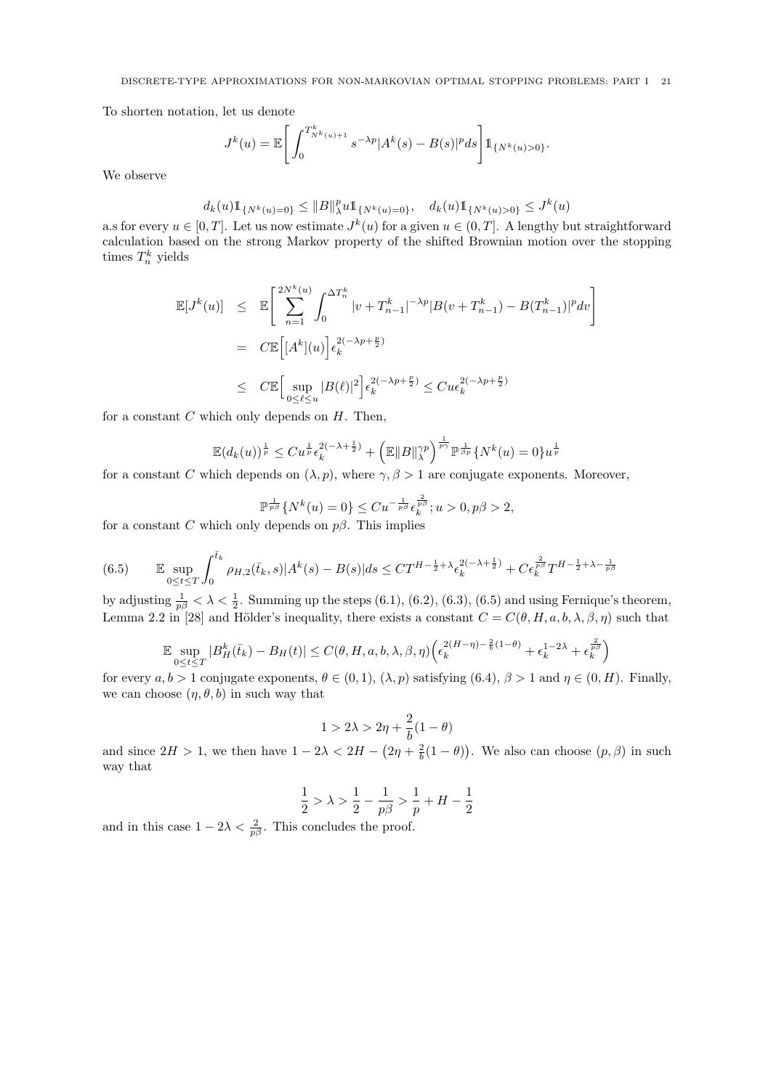To shorten notation, let us denote

$$
J^{k}(u) = \mathbb{E}\left[\int_{0}^{T^{k}_{N^{k}(u)+1}} s^{-\lambda p} |A^{k}(s) - B(s)|^{p} ds\right] \mathbb{1}_{\{N^{k}(u) > 0\}}.
$$

We observe

$$
d_k(u)1\!\! 1_{\{N^k(u)=0\}} \leq \|B\|_{\lambda}^p u1\!\! 1_{\{N^k(u)=0\}}, \quad d_k(u)1\!\! 1_{\{N^k(u)>0\}} \leq J^k(u)
$$

a.s for every  $u \in [0, T]$ . Let us now estimate  $J^k(u)$  for a given  $u \in (0, T]$ . A lengthy but straightforward calculation based on the strong Markov property of the shifted Brownian motion over the stopping times  $T_n^k$  yields

$$
\mathbb{E}[J^{k}(u)] \leq \mathbb{E}\left[\sum_{n=1}^{2N^{k}(u)} \int_{0}^{\Delta T_{n}^{k}} |v + T_{n-1}^{k}|^{-\lambda p} |B(v + T_{n-1}^{k}) - B(T_{n-1}^{k})|^{p} dv\right]
$$
  
\n
$$
= C \mathbb{E}\left[[A^{k}](u)\right] \epsilon_{k}^{2(-\lambda p + \frac{p}{2})}
$$
  
\n
$$
\leq C \mathbb{E}\left[\sup_{0 \leq \ell \leq u} |B(\ell)|^{2}\right] \epsilon_{k}^{2(-\lambda p + \frac{p}{2})} \leq C u \epsilon_{k}^{2(-\lambda p + \frac{p}{2})}
$$

for a constant  $C$  which only depends on  $H$ . Then,

$$
\mathbb{E}(d_k(u))^{\frac{1}{p}} \leq C u^{\frac{1}{p}} \epsilon_k^{2(-\lambda + \frac{1}{2})} + \left(\mathbb{E} \|B\|_{\lambda}^{\gamma p}\right)^{\frac{1}{p\gamma}} \mathbb{P}^{\frac{1}{\beta p}} \{N^k(u) = 0\} u^{\frac{1}{p}}
$$

for a constant C which depends on  $(\lambda, p)$ , where  $\gamma, \beta > 1$  are conjugate exponents. Moreover,

$$
\mathbb{P}^{\frac{1}{p\beta}}\{N^k(u) = 0\} \leq Cu^{-\frac{1}{p\beta}} \epsilon_k^{\frac{2}{p\beta}}; u > 0, p\beta > 2,
$$
  
by depends on  $p\beta$ . This implies

for a constant C which only depends on  $p\beta$ . This implies

$$
(6.5) \qquad \mathbb{E} \sup_{0 \le t \le T} \int_0^{\bar{t}_k} \rho_{H,2}(\bar{t}_k, s) |A^k(s) - B(s)| ds \le CT^{H - \frac{1}{2} + \lambda} \epsilon_k^{2(-\lambda + \frac{1}{2})} + C \epsilon_k^{\frac{2}{p\beta}} T^{H - \frac{1}{2} + \lambda - \frac{1}{p\beta}}
$$

by adjusting  $\frac{1}{p\beta} < \lambda < \frac{1}{2}$ . Summing up the steps (6.1), (6.2), (6.3), (6.5) and using Fernique's theorem, Lemma 2.2 in [28] and Hölder's inequality, there exists a constant  $C = C(\theta, H, a, b, \lambda, \beta, \eta)$  such that

$$
\mathbb{E} \sup_{0 \le t \le T} |B_H^k(\bar{t}_k) - B_H(t)| \le C(\theta, H, a, b, \lambda, \beta, \eta) \left(\epsilon_k^{2(H - \eta) - \frac{2}{b}(1 - \theta)} + \epsilon_k^{1 - 2\lambda} + \epsilon_k^{\frac{2}{p\beta}}\right)
$$

for every  $a, b > 1$  conjugate exponents,  $\theta \in (0, 1), (\lambda, p)$  satisfying  $(6.4), \beta > 1$  and  $\eta \in (0, H)$ . Finally, we can choose  $(\eta, \theta, b)$  in such way that

$$
1>2\lambda>2\eta+\frac{2}{b}(1-\theta)
$$

and since  $2H > 1$ , we then have  $1 - 2\lambda < 2H - (2\eta + \frac{2}{b}(1 - \theta))$ . We also can choose  $(p, \beta)$  in such way that

$$
\frac{1}{2} > \lambda > \frac{1}{2} - \frac{1}{p\beta} > \frac{1}{p} + H - \frac{1}{2}
$$

and in this case  $1 - 2\lambda < \frac{2}{p\beta}$ . This concludes the proof.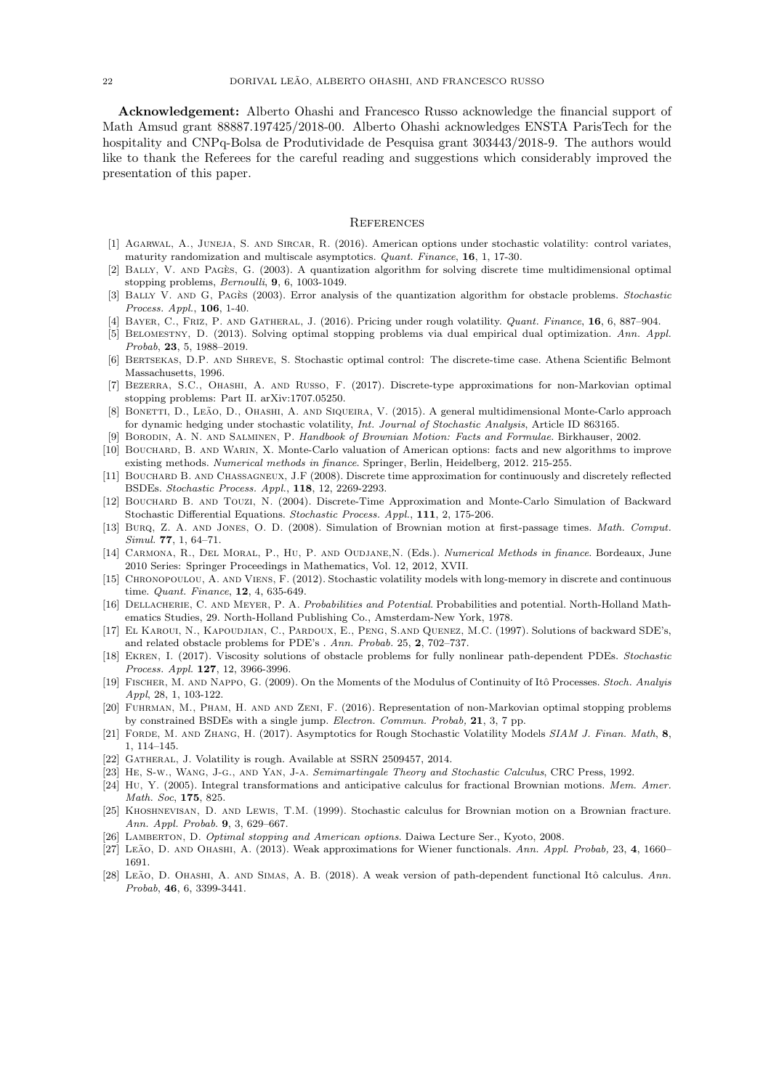Acknowledgement: Alberto Ohashi and Francesco Russo acknowledge the financial support of Math Amsud grant 88887.197425/2018-00. Alberto Ohashi acknowledges ENSTA ParisTech for the hospitality and CNPq-Bolsa de Produtividade de Pesquisa grant 303443/2018-9. The authors would like to thank the Referees for the careful reading and suggestions which considerably improved the presentation of this paper.

#### **REFERENCES**

- [1] Agarwal, A., Juneja, S. and Sircar, R. (2016). American options under stochastic volatility: control variates, maturity randomization and multiscale asymptotics. Quant. Finance, 16, 1, 17-30.
- [2] BALLY, V. AND PAGES, G. (2003). A quantization algorithm for solving discrete time multidimensional optimal stopping problems, Bernoulli, 9, 6, 1003-1049.
- [3] BALLY V. AND G, PAGES (2003). Error analysis of the quantization algorithm for obstacle problems. Stochastic Process. Appl., 106, 1-40.
- [4] BAYER, C., FRIZ, P. AND GATHERAL, J. (2016). Pricing under rough volatility. Quant. Finance, 16, 6, 887-904.
- [5] Belomestny, D. (2013). Solving optimal stopping problems via dual empirical dual optimization. Ann. Appl. Probab, 23, 5, 1988-2019.
- [6] Bertsekas, D.P. and Shreve, S. Stochastic optimal control: The discrete-time case. Athena Scientific Belmont Massachusetts, 1996.
- [7] Bezerra, S.C., Ohashi, A. and Russo, F. (2017). Discrete-type approximations for non-Markovian optimal stopping problems: Part II. arXiv:1707.05250.
- [8] BONETTI, D., LEÃO, D., OHASHI, A. AND SIQUEIRA, V. (2015). A general multidimensional Monte-Carlo approach for dynamic hedging under stochastic volatility, Int. Journal of Stochastic Analysis, Article ID 863165.
- [9] Borodin, A. N. and Salminen, P. Handbook of Brownian Motion: Facts and Formulae. Birkhauser, 2002.
- [10] BOUCHARD, B. AND WARIN, X. Monte-Carlo valuation of American options: facts and new algorithms to improve existing methods. Numerical methods in finance. Springer, Berlin, Heidelberg, 2012. 215-255.
- [11] BOUCHARD B. AND CHASSAGNEUX, J.F (2008). Discrete time approximation for continuously and discretely reflected BSDEs. Stochastic Process. Appl., 118, 12, 2269-2293.
- [12] BOUCHARD B. AND TOUZI, N. (2004). Discrete-Time Approximation and Monte-Carlo Simulation of Backward Stochastic Differential Equations. Stochastic Process. Appl., 111, 2, 175-206.
- [13] Burq, Z. A. and Jones, O. D. (2008). Simulation of Brownian motion at first-passage times. Math. Comput. Simul. 77, 1, 64–71.
- [14] Carmona, R., Del Moral, P., Hu, P. and Oudjane,N. (Eds.). Numerical Methods in finance. Bordeaux, June 2010 Series: Springer Proceedings in Mathematics, Vol. 12, 2012, XVII.
- [15] CHRONOPOULOU, A. AND VIENS, F. (2012). Stochastic volatility models with long-memory in discrete and continuous time. Quant. Finance, 12, 4, 635-649.
- [16] DELLACHERIE, C. AND MEYER, P. A. Probabilities and Potential. Probabilities and potential. North-Holland Mathematics Studies, 29. North-Holland Publishing Co., Amsterdam-New York, 1978.
- [17] El Karoui, N., Kapoudjian, C., Pardoux, E., Peng, S.and Quenez, M.C. (1997). Solutions of backward SDE's, and related obstacle problems for PDE's . Ann. Probab. 25, 2, 702–737.
- [18] Ekren, I. (2017). Viscosity solutions of obstacle problems for fully nonlinear path-dependent PDEs. Stochastic Process. Appl. 127, 12, 3966-3996.
- [19] FISCHER, M. AND NAPPO, G. (2009). On the Moments of the Modulus of Continuity of Itô Processes. Stoch. Analyis Appl, 28, 1, 103-122.
- [20] Fuhrman, M., Pham, H. and and Zeni, F. (2016). Representation of non-Markovian optimal stopping problems by constrained BSDEs with a single jump. Electron. Commun. Probab, 21, 3, 7 pp.
- [21] FORDE, M. AND ZHANG, H. (2017). Asymptotics for Rough Stochastic Volatility Models SIAM J. Finan. Math, 8, 1, 114–145.
- [22] GATHERAL, J. Volatility is rough. Available at SSRN 2509457, 2014.
- [23] He, S-w., Wang, J-g., and Yan, J-a. Semimartingale Theory and Stochastic Calculus, CRC Press, 1992.
- [24] Hu, Y. (2005). Integral transformations and anticipative calculus for fractional Brownian motions. Mem. Amer. Math. Soc, 175, 825.
- [25] Khoshnevisan, D. and Lewis, T.M. (1999). Stochastic calculus for Brownian motion on a Brownian fracture. Ann. Appl. Probab. 9, 3, 629–667.
- [26] LAMBERTON, D. Optimal stopping and American options. Daiwa Lecture Ser., Kyoto, 2008.
- [27] Leão, D. AND OHASHI, A. (2013). Weak approximations for Wiener functionals. Ann. Appl. Probab, 23, 4, 1660– 1691.
- [28] LEÃO, D. OHASHI, A. AND SIMAS, A. B. (2018). A weak version of path-dependent functional Itô calculus. Ann. Probab, 46, 6, 3399-3441.